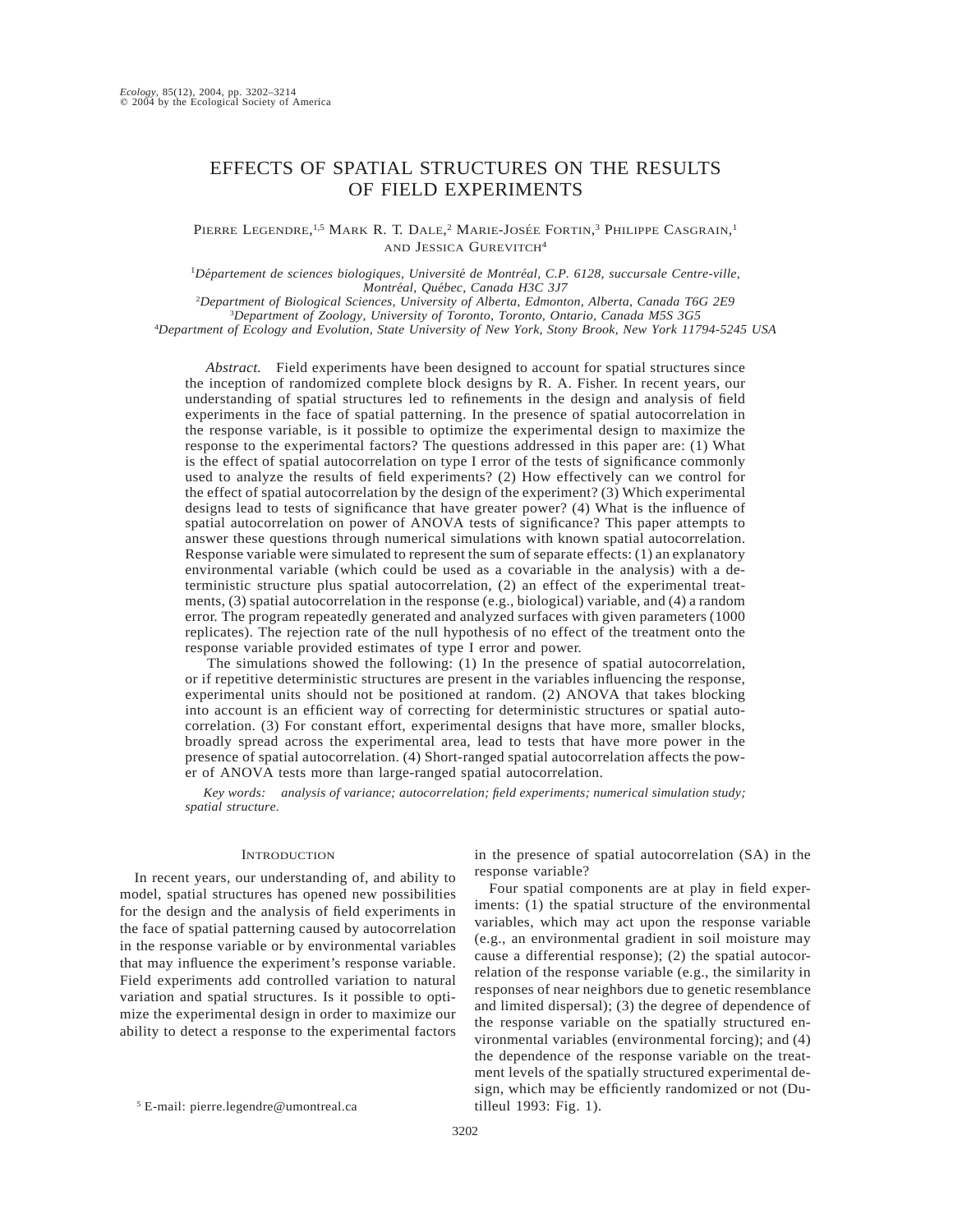## EFFECTS OF SPATIAL STRUCTURES ON THE RESULTS OF FIELD EXPERIMENTS

## PIERRE LEGENDRE,<sup>1,5</sup> MARK R. T. DALE,<sup>2</sup> MARIE-JOSÉE FORTIN,<sup>3</sup> PHILIPPE CASGRAIN,<sup>1</sup> AND JESSICA GUREVITCH4

<sup>1</sup>Département de sciences biologiques, Université de Montréal, C.P. 6128, succursale Centre-ville, *Montre´al, Que´bec, Canada H3C 3J7*

2 *Department of Biological Sciences, University of Alberta, Edmonton, Alberta, Canada T6G 2E9* 3 *Department of Zoology, University of Toronto, Toronto, Ontario, Canada M5S 3G5* 4 *Department of Ecology and Evolution, State University of New York, Stony Brook, New York 11794-5245 USA*

*Abstract.* Field experiments have been designed to account for spatial structures since the inception of randomized complete block designs by R. A. Fisher. In recent years, our understanding of spatial structures led to refinements in the design and analysis of field experiments in the face of spatial patterning. In the presence of spatial autocorrelation in the response variable, is it possible to optimize the experimental design to maximize the response to the experimental factors? The questions addressed in this paper are: (1) What is the effect of spatial autocorrelation on type I error of the tests of significance commonly used to analyze the results of field experiments? (2) How effectively can we control for the effect of spatial autocorrelation by the design of the experiment? (3) Which experimental designs lead to tests of significance that have greater power? (4) What is the influence of spatial autocorrelation on power of ANOVA tests of significance? This paper attempts to answer these questions through numerical simulations with known spatial autocorrelation. Response variable were simulated to represent the sum of separate effects: (1) an explanatory environmental variable (which could be used as a covariable in the analysis) with a deterministic structure plus spatial autocorrelation, (2) an effect of the experimental treatments, (3) spatial autocorrelation in the response (e.g., biological) variable, and (4) a random error. The program repeatedly generated and analyzed surfaces with given parameters (1000 replicates). The rejection rate of the null hypothesis of no effect of the treatment onto the response variable provided estimates of type I error and power.

The simulations showed the following: (1) In the presence of spatial autocorrelation, or if repetitive deterministic structures are present in the variables influencing the response, experimental units should not be positioned at random. (2) ANOVA that takes blocking into account is an efficient way of correcting for deterministic structures or spatial autocorrelation. (3) For constant effort, experimental designs that have more, smaller blocks, broadly spread across the experimental area, lead to tests that have more power in the presence of spatial autocorrelation. (4) Short-ranged spatial autocorrelation affects the power of ANOVA tests more than large-ranged spatial autocorrelation.

*Key words: analysis of variance; autocorrelation; field experiments; numerical simulation study; spatial structure.*

#### **INTRODUCTION**

In recent years, our understanding of, and ability to model, spatial structures has opened new possibilities for the design and the analysis of field experiments in the face of spatial patterning caused by autocorrelation in the response variable or by environmental variables that may influence the experiment's response variable. Field experiments add controlled variation to natural variation and spatial structures. Is it possible to optimize the experimental design in order to maximize our ability to detect a response to the experimental factors

in the presence of spatial autocorrelation (SA) in the response variable?

Four spatial components are at play in field experiments: (1) the spatial structure of the environmental variables, which may act upon the response variable (e.g., an environmental gradient in soil moisture may cause a differential response); (2) the spatial autocorrelation of the response variable (e.g., the similarity in responses of near neighbors due to genetic resemblance and limited dispersal); (3) the degree of dependence of the response variable on the spatially structured environmental variables (environmental forcing); and (4) the dependence of the response variable on the treatment levels of the spatially structured experimental design, which may be efficiently randomized or not (Dutilleul 1993: Fig. 1).

<sup>5</sup> E-mail: pierre.legendre@umontreal.ca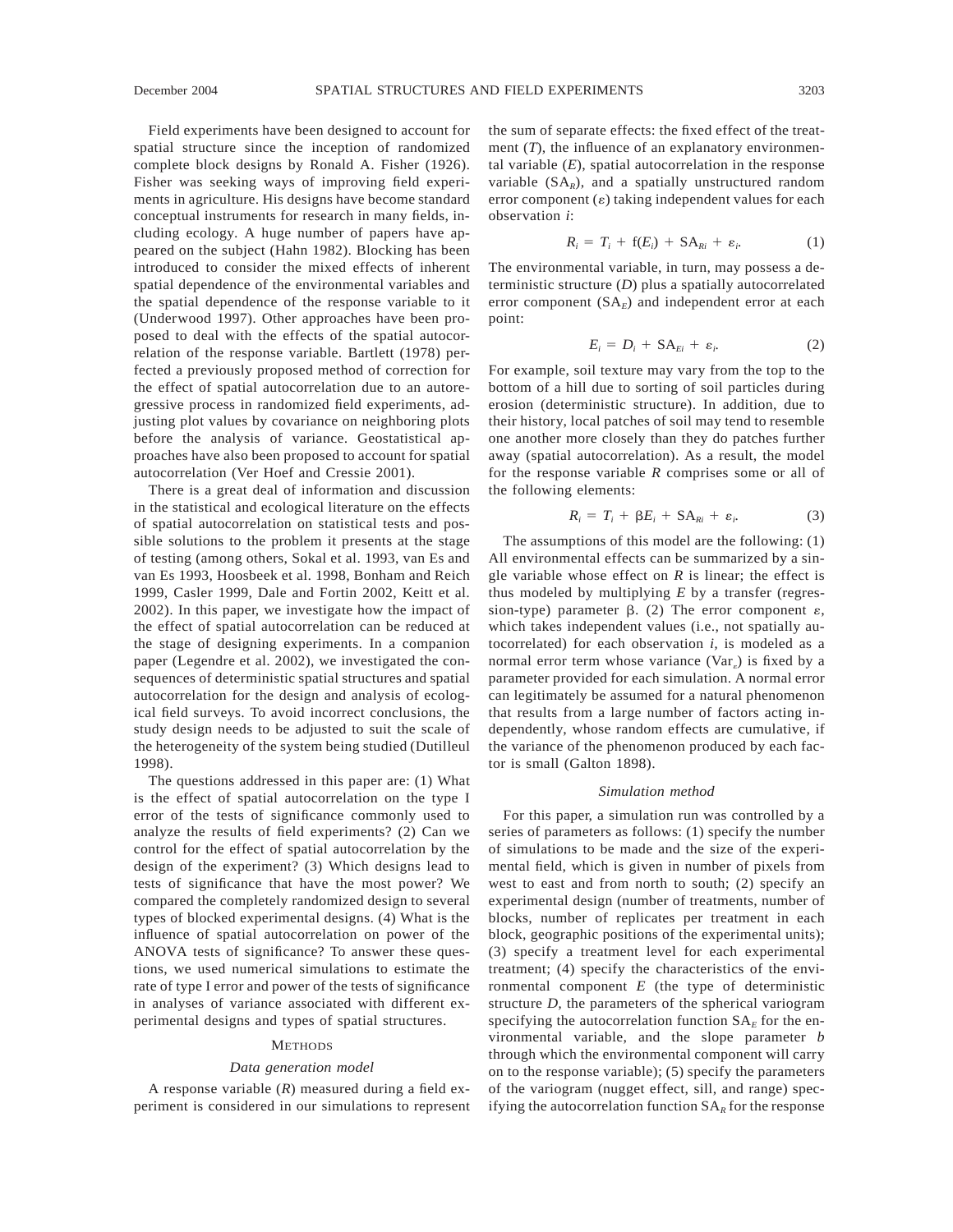Field experiments have been designed to account for spatial structure since the inception of randomized complete block designs by Ronald A. Fisher (1926). Fisher was seeking ways of improving field experiments in agriculture. His designs have become standard conceptual instruments for research in many fields, including ecology. A huge number of papers have appeared on the subject (Hahn 1982). Blocking has been introduced to consider the mixed effects of inherent spatial dependence of the environmental variables and the spatial dependence of the response variable to it (Underwood 1997). Other approaches have been proposed to deal with the effects of the spatial autocorrelation of the response variable. Bartlett (1978) perfected a previously proposed method of correction for the effect of spatial autocorrelation due to an autoregressive process in randomized field experiments, adjusting plot values by covariance on neighboring plots before the analysis of variance. Geostatistical approaches have also been proposed to account for spatial autocorrelation (Ver Hoef and Cressie 2001).

There is a great deal of information and discussion in the statistical and ecological literature on the effects of spatial autocorrelation on statistical tests and possible solutions to the problem it presents at the stage of testing (among others, Sokal et al. 1993, van Es and van Es 1993, Hoosbeek et al. 1998, Bonham and Reich 1999, Casler 1999, Dale and Fortin 2002, Keitt et al. 2002). In this paper, we investigate how the impact of the effect of spatial autocorrelation can be reduced at the stage of designing experiments. In a companion paper (Legendre et al. 2002), we investigated the consequences of deterministic spatial structures and spatial autocorrelation for the design and analysis of ecological field surveys. To avoid incorrect conclusions, the study design needs to be adjusted to suit the scale of the heterogeneity of the system being studied (Dutilleul 1998).

The questions addressed in this paper are: (1) What is the effect of spatial autocorrelation on the type I error of the tests of significance commonly used to analyze the results of field experiments? (2) Can we control for the effect of spatial autocorrelation by the design of the experiment? (3) Which designs lead to tests of significance that have the most power? We compared the completely randomized design to several types of blocked experimental designs. (4) What is the influence of spatial autocorrelation on power of the ANOVA tests of significance? To answer these questions, we used numerical simulations to estimate the rate of type I error and power of the tests of significance in analyses of variance associated with different experimental designs and types of spatial structures.

#### **METHODS**

#### *Data generation model*

A response variable (*R*) measured during a field experiment is considered in our simulations to represent the sum of separate effects: the fixed effect of the treatment  $(T)$ , the influence of an explanatory environmental variable  $(E)$ , spatial autocorrelation in the response variable  $(SA_R)$ , and a spatially unstructured random error component  $(\varepsilon)$  taking independent values for each observation *i*:

$$
R_i = T_i + f(E_i) + SA_{Ri} + \varepsilon_i.
$$
 (1)

The environmental variable, in turn, may possess a deterministic structure (*D*) plus a spatially autocorrelated error component  $(SA<sub>F</sub>)$  and independent error at each point:

$$
E_i = D_i + S A_{E_i} + \varepsilon_i. \tag{2}
$$

For example, soil texture may vary from the top to the bottom of a hill due to sorting of soil particles during erosion (deterministic structure). In addition, due to their history, local patches of soil may tend to resemble one another more closely than they do patches further away (spatial autocorrelation). As a result, the model for the response variable *R* comprises some or all of the following elements:

$$
R_i = T_i + \beta E_i + S A_{Ri} + \varepsilon_i. \tag{3}
$$

The assumptions of this model are the following: (1) All environmental effects can be summarized by a single variable whose effect on *R* is linear; the effect is thus modeled by multiplying *E* by a transfer (regression-type) parameter  $\beta$ . (2) The error component  $\varepsilon$ , which takes independent values (i.e., not spatially autocorrelated) for each observation *i,* is modeled as a normal error term whose variance (Var) is fixed by a parameter provided for each simulation. A normal error can legitimately be assumed for a natural phenomenon that results from a large number of factors acting independently, whose random effects are cumulative, if the variance of the phenomenon produced by each factor is small (Galton 1898).

#### *Simulation method*

For this paper, a simulation run was controlled by a series of parameters as follows: (1) specify the number of simulations to be made and the size of the experimental field, which is given in number of pixels from west to east and from north to south; (2) specify an experimental design (number of treatments, number of blocks, number of replicates per treatment in each block, geographic positions of the experimental units); (3) specify a treatment level for each experimental treatment; (4) specify the characteristics of the environmental component *E* (the type of deterministic structure *D,* the parameters of the spherical variogram specifying the autocorrelation function  $SA<sub>E</sub>$  for the environmental variable, and the slope parameter *b* through which the environmental component will carry on to the response variable); (5) specify the parameters of the variogram (nugget effect, sill, and range) specifying the autocorrelation function  $SA<sub>R</sub>$  for the response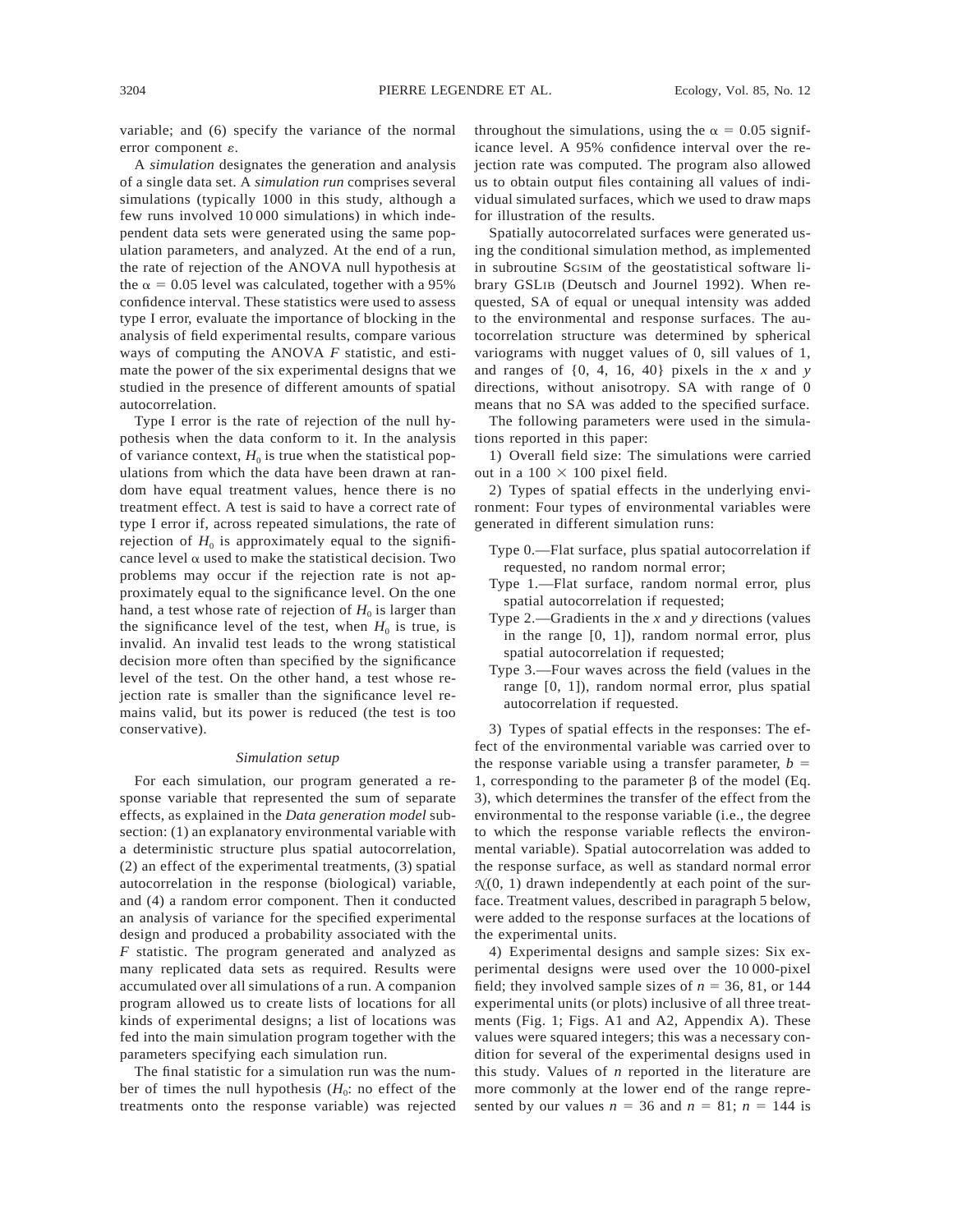variable; and (6) specify the variance of the normal error component  $\varepsilon$ .

A *simulation* designates the generation and analysis of a single data set. A *simulation run* comprises several simulations (typically 1000 in this study, although a few runs involved 10 000 simulations) in which independent data sets were generated using the same population parameters, and analyzed. At the end of a run, the rate of rejection of the ANOVA null hypothesis at the  $\alpha$  = 0.05 level was calculated, together with a 95% confidence interval. These statistics were used to assess type I error, evaluate the importance of blocking in the analysis of field experimental results, compare various ways of computing the ANOVA *F* statistic, and estimate the power of the six experimental designs that we studied in the presence of different amounts of spatial autocorrelation.

Type I error is the rate of rejection of the null hypothesis when the data conform to it. In the analysis of variance context,  $H_0$  is true when the statistical populations from which the data have been drawn at random have equal treatment values, hence there is no treatment effect. A test is said to have a correct rate of type I error if, across repeated simulations, the rate of rejection of  $H_0$  is approximately equal to the significance level  $\alpha$  used to make the statistical decision. Two problems may occur if the rejection rate is not approximately equal to the significance level. On the one hand, a test whose rate of rejection of  $H_0$  is larger than the significance level of the test, when  $H_0$  is true, is invalid. An invalid test leads to the wrong statistical decision more often than specified by the significance level of the test. On the other hand, a test whose rejection rate is smaller than the significance level remains valid, but its power is reduced (the test is too conservative).

#### *Simulation setup*

For each simulation, our program generated a response variable that represented the sum of separate effects, as explained in the *Data generation model* subsection: (1) an explanatory environmental variable with a deterministic structure plus spatial autocorrelation, (2) an effect of the experimental treatments, (3) spatial autocorrelation in the response (biological) variable, and (4) a random error component. Then it conducted an analysis of variance for the specified experimental design and produced a probability associated with the *F* statistic. The program generated and analyzed as many replicated data sets as required. Results were accumulated over all simulations of a run. A companion program allowed us to create lists of locations for all kinds of experimental designs; a list of locations was fed into the main simulation program together with the parameters specifying each simulation run.

The final statistic for a simulation run was the number of times the null hypothesis  $(H_0:$  no effect of the treatments onto the response variable) was rejected throughout the simulations, using the  $\alpha = 0.05$  significance level. A 95% confidence interval over the rejection rate was computed. The program also allowed us to obtain output files containing all values of individual simulated surfaces, which we used to draw maps for illustration of the results.

Spatially autocorrelated surfaces were generated using the conditional simulation method, as implemented in subroutine SGSIM of the geostatistical software library GSLIB (Deutsch and Journel 1992). When requested, SA of equal or unequal intensity was added to the environmental and response surfaces. The autocorrelation structure was determined by spherical variograms with nugget values of 0, sill values of 1, and ranges of  $\{0, 4, 16, 40\}$  pixels in the *x* and *y* directions, without anisotropy. SA with range of 0 means that no SA was added to the specified surface.

The following parameters were used in the simulations reported in this paper:

1) Overall field size: The simulations were carried out in a  $100 \times 100$  pixel field.

2) Types of spatial effects in the underlying environment: Four types of environmental variables were generated in different simulation runs:

- Type 0.—Flat surface, plus spatial autocorrelation if requested, no random normal error;
- Type 1.—Flat surface, random normal error, plus spatial autocorrelation if requested;
- Type 2.—Gradients in the *x* and *y* directions (values in the range [0, 1]), random normal error, plus spatial autocorrelation if requested;
- Type 3.—Four waves across the field (values in the range [0, 1]), random normal error, plus spatial autocorrelation if requested.

3) Types of spatial effects in the responses: The effect of the environmental variable was carried over to the response variable using a transfer parameter,  $b =$ 1, corresponding to the parameter  $\beta$  of the model (Eq. 3), which determines the transfer of the effect from the environmental to the response variable (i.e., the degree to which the response variable reflects the environmental variable). Spatial autocorrelation was added to the response surface, as well as standard normal error  $N(0, 1)$  drawn independently at each point of the surface. Treatment values, described in paragraph 5 below, were added to the response surfaces at the locations of the experimental units.

4) Experimental designs and sample sizes: Six experimental designs were used over the 10 000-pixel field; they involved sample sizes of  $n = 36, 81$ , or 144 experimental units (or plots) inclusive of all three treatments (Fig. 1; Figs. A1 and A2, Appendix A). These values were squared integers; this was a necessary condition for several of the experimental designs used in this study. Values of *n* reported in the literature are more commonly at the lower end of the range represented by our values  $n = 36$  and  $n = 81$ ;  $n = 144$  is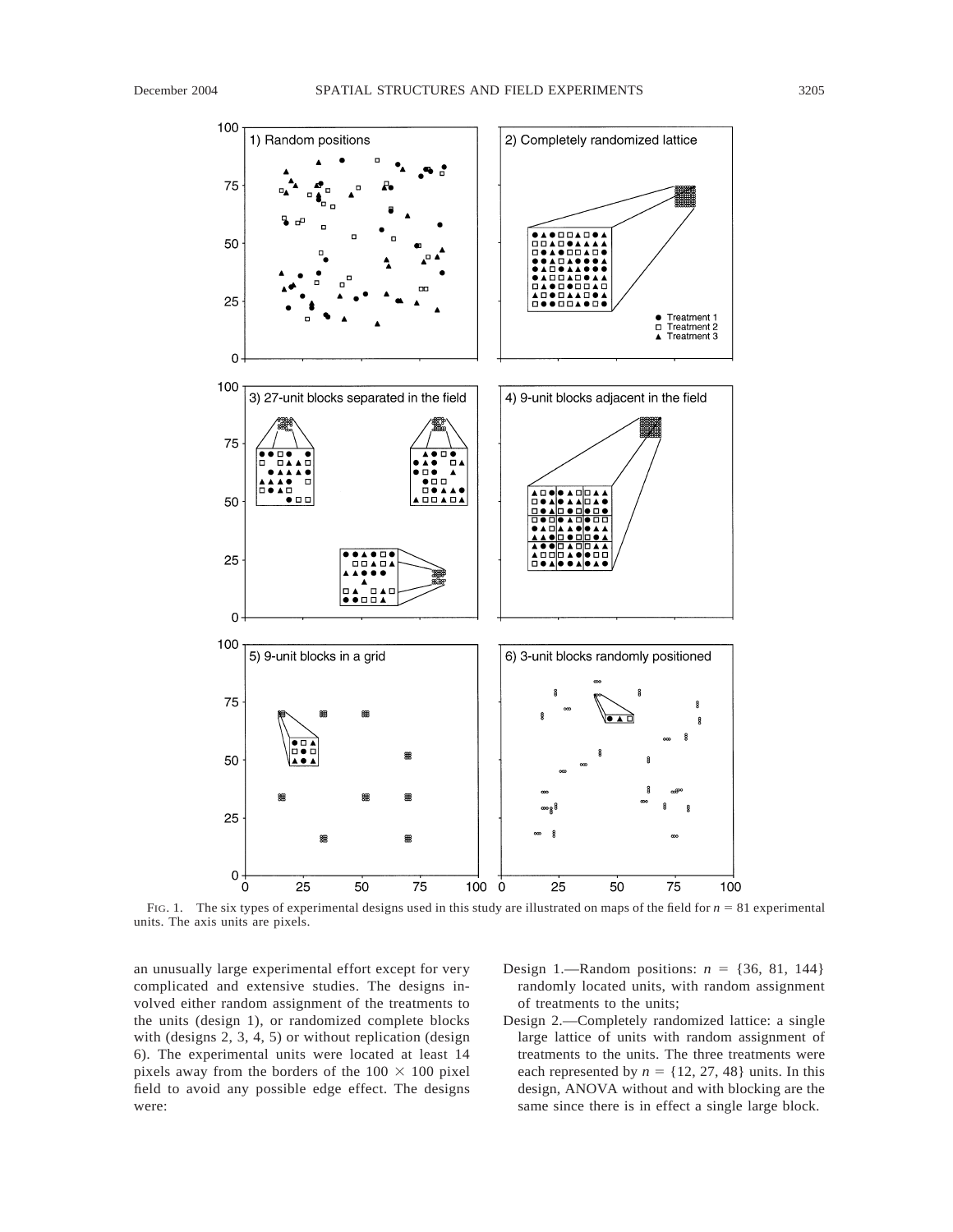

FIG. 1. The six types of experimental designs used in this study are illustrated on maps of the field for  $n = 81$  experimental units. The axis units are pixels.

an unusually large experimental effort except for very complicated and extensive studies. The designs involved either random assignment of the treatments to the units (design 1), or randomized complete blocks with (designs 2, 3, 4, 5) or without replication (design 6). The experimental units were located at least 14 pixels away from the borders of the  $100 \times 100$  pixel field to avoid any possible edge effect. The designs were:

- Design 1.—Random positions:  $n = \{36, 81, 144\}$ randomly located units, with random assignment of treatments to the units;
- Design 2.—Completely randomized lattice: a single large lattice of units with random assignment of treatments to the units. The three treatments were each represented by  $n = \{12, 27, 48\}$  units. In this design, ANOVA without and with blocking are the same since there is in effect a single large block.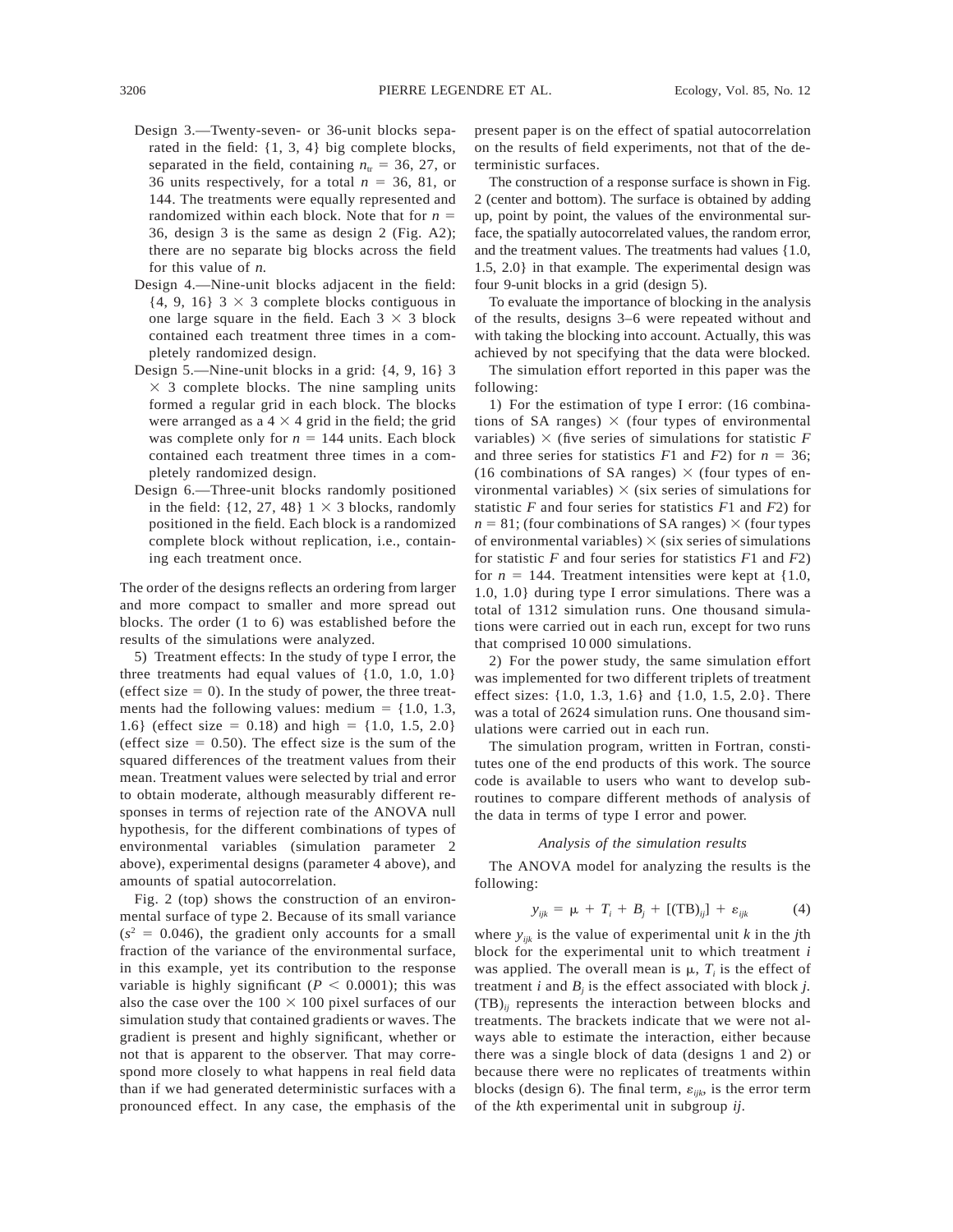- Design 3.—Twenty-seven- or 36-unit blocks separated in the field: {1, 3, 4} big complete blocks, separated in the field, containing  $n_{\text{tr}} = 36, 27, \text{or}$ 36 units respectively, for a total  $n = 36, 81,$  or 144. The treatments were equally represented and randomized within each block. Note that for  $n =$ 36, design 3 is the same as design 2 (Fig. A2); there are no separate big blocks across the field for this value of *n.*
- Design 4.—Nine-unit blocks adjacent in the field:  $\{4, 9, 16\}$  3  $\times$  3 complete blocks contiguous in one large square in the field. Each  $3 \times 3$  block contained each treatment three times in a completely randomized design.
- Design 5.—Nine-unit blocks in a grid: {4, 9, 16} 3  $\times$  3 complete blocks. The nine sampling units formed a regular grid in each block. The blocks were arranged as a  $4 \times 4$  grid in the field; the grid was complete only for  $n = 144$  units. Each block contained each treatment three times in a completely randomized design.
- Design 6.—Three-unit blocks randomly positioned in the field:  $\{12, 27, 48\}$  1  $\times$  3 blocks, randomly positioned in the field. Each block is a randomized complete block without replication, i.e., containing each treatment once.

The order of the designs reflects an ordering from larger and more compact to smaller and more spread out blocks. The order (1 to 6) was established before the results of the simulations were analyzed.

5) Treatment effects: In the study of type I error, the three treatments had equal values of {1.0, 1.0, 1.0} (effect size  $= 0$ ). In the study of power, the three treatments had the following values: medium =  $\{1.0, 1.3,$ 1.6} (effect size = 0.18) and high =  $\{1.0, 1.5, 2.0\}$ (effect size  $= 0.50$ ). The effect size is the sum of the squared differences of the treatment values from their mean. Treatment values were selected by trial and error to obtain moderate, although measurably different responses in terms of rejection rate of the ANOVA null hypothesis, for the different combinations of types of environmental variables (simulation parameter 2 above), experimental designs (parameter 4 above), and amounts of spatial autocorrelation.

Fig. 2 (top) shows the construction of an environmental surface of type 2. Because of its small variance  $(s<sup>2</sup> = 0.046)$ , the gradient only accounts for a small fraction of the variance of the environmental surface, in this example, yet its contribution to the response variable is highly significant ( $P < 0.0001$ ); this was also the case over the  $100 \times 100$  pixel surfaces of our simulation study that contained gradients or waves. The gradient is present and highly significant, whether or not that is apparent to the observer. That may correspond more closely to what happens in real field data than if we had generated deterministic surfaces with a pronounced effect. In any case, the emphasis of the present paper is on the effect of spatial autocorrelation on the results of field experiments, not that of the deterministic surfaces.

The construction of a response surface is shown in Fig. 2 (center and bottom). The surface is obtained by adding up, point by point, the values of the environmental surface, the spatially autocorrelated values, the random error, and the treatment values. The treatments had values {1.0, 1.5, 2.0} in that example. The experimental design was four 9-unit blocks in a grid (design 5).

To evaluate the importance of blocking in the analysis of the results, designs 3–6 were repeated without and with taking the blocking into account. Actually, this was achieved by not specifying that the data were blocked.

The simulation effort reported in this paper was the following:

1) For the estimation of type I error: (16 combinations of SA ranges)  $\times$  (four types of environmental variables)  $\times$  (five series of simulations for statistic *F* and three series for statistics  $F1$  and  $F2$ ) for  $n = 36$ ; (16 combinations of SA ranges)  $\times$  (four types of environmental variables)  $\times$  (six series of simulations for statistic *F* and four series for statistics *F*1 and *F*2) for  $n = 81$ ; (four combinations of SA ranges)  $\times$  (four types) of environmental variables)  $\times$  (six series of simulations for statistic *F* and four series for statistics *F*1 and *F*2) for  $n = 144$ . Treatment intensities were kept at  $\{1.0,$ 1.0, 1.0} during type I error simulations. There was a total of 1312 simulation runs. One thousand simulations were carried out in each run, except for two runs that comprised 10 000 simulations.

2) For the power study, the same simulation effort was implemented for two different triplets of treatment effect sizes: {1.0, 1.3, 1.6} and {1.0, 1.5, 2.0}. There was a total of 2624 simulation runs. One thousand simulations were carried out in each run.

The simulation program, written in Fortran, constitutes one of the end products of this work. The source code is available to users who want to develop subroutines to compare different methods of analysis of the data in terms of type I error and power.

#### *Analysis of the simulation results*

The ANOVA model for analyzing the results is the following:

$$
y_{ijk} = \mu + T_i + B_j + [(\text{TB})_{ij}] + \varepsilon_{ijk} \tag{4}
$$

where  $y_{ijk}$  is the value of experimental unit *k* in the *j*th block for the experimental unit to which treatment *i* was applied. The overall mean is  $\mu$ ,  $T_i$  is the effect of treatment  $i$  and  $B_i$  is the effect associated with block  $j$ . (TB)*ij* represents the interaction between blocks and treatments. The brackets indicate that we were not always able to estimate the interaction, either because there was a single block of data (designs 1 and 2) or because there were no replicates of treatments within blocks (design 6). The final term,  $\varepsilon_{ijk}$ , is the error term of the *k*th experimental unit in subgroup *ij*.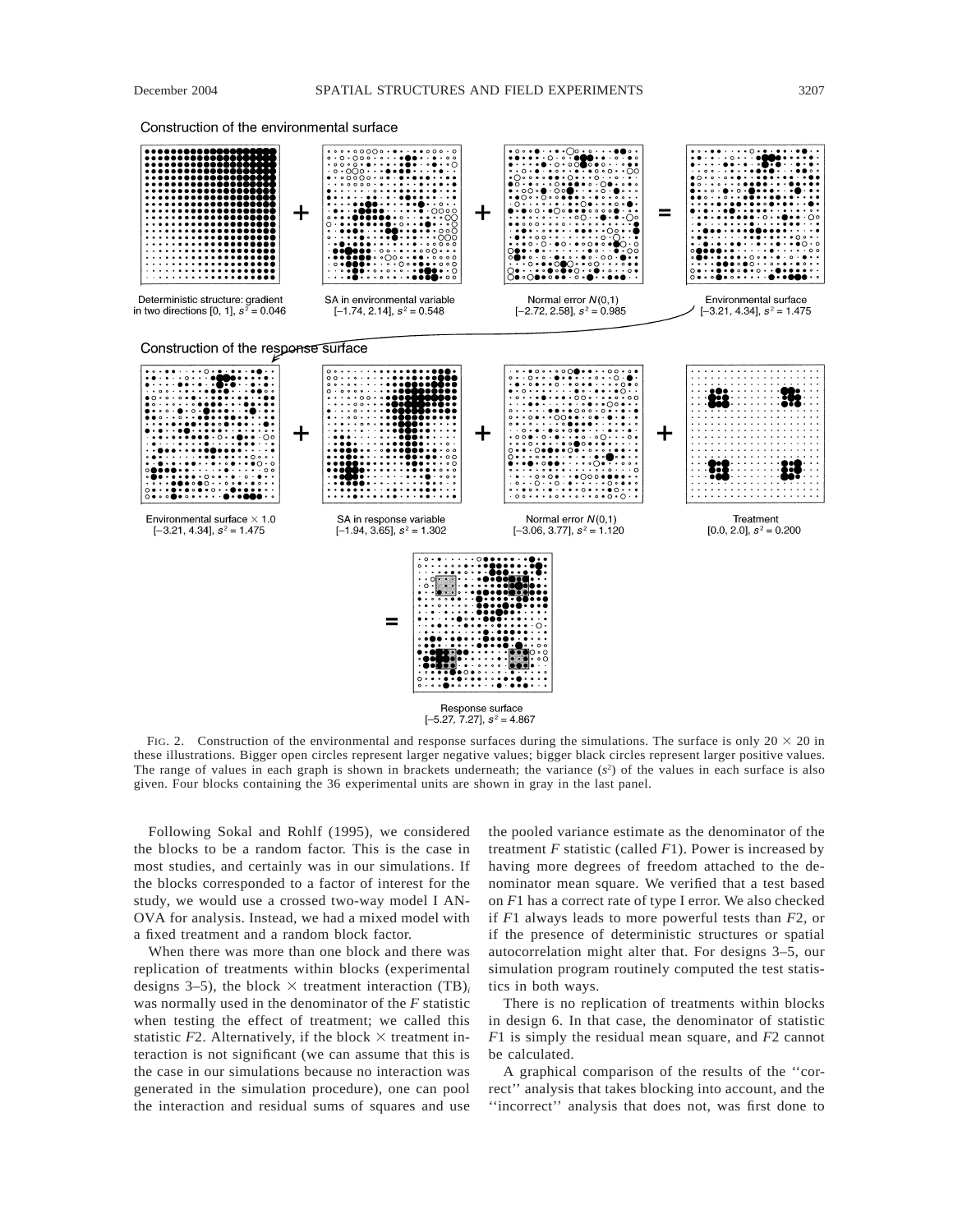Construction of the environmental surface



FIG. 2. Construction of the environmental and response surfaces during the simulations. The surface is only  $20 \times 20$  in these illustrations. Bigger open circles represent larger negative values; bigger black circles represent larger positive values. The range of values in each graph is shown in brackets underneath; the variance  $(s^2)$  of the values in each surface is also given. Four blocks containing the 36 experimental units are shown in gray in the last panel.

Following Sokal and Rohlf (1995), we considered the blocks to be a random factor. This is the case in most studies, and certainly was in our simulations. If the blocks corresponded to a factor of interest for the study, we would use a crossed two-way model I AN-OVA for analysis. Instead, we had a mixed model with a fixed treatment and a random block factor.

When there was more than one block and there was replication of treatments within blocks (experimental designs 3–5), the block  $\times$  treatment interaction (TB)<sub>*i*</sub> was normally used in the denominator of the *F* statistic when testing the effect of treatment; we called this statistic  $F2$ . Alternatively, if the block  $\times$  treatment interaction is not significant (we can assume that this is the case in our simulations because no interaction was generated in the simulation procedure), one can pool the interaction and residual sums of squares and use

the pooled variance estimate as the denominator of the treatment *F* statistic (called *F*1). Power is increased by having more degrees of freedom attached to the denominator mean square. We verified that a test based on *F*1 has a correct rate of type I error. We also checked if *F*1 always leads to more powerful tests than *F*2, or if the presence of deterministic structures or spatial autocorrelation might alter that. For designs 3–5, our simulation program routinely computed the test statistics in both ways.

There is no replication of treatments within blocks in design 6. In that case, the denominator of statistic *F*1 is simply the residual mean square, and *F*2 cannot be calculated.

A graphical comparison of the results of the ''correct'' analysis that takes blocking into account, and the ''incorrect'' analysis that does not, was first done to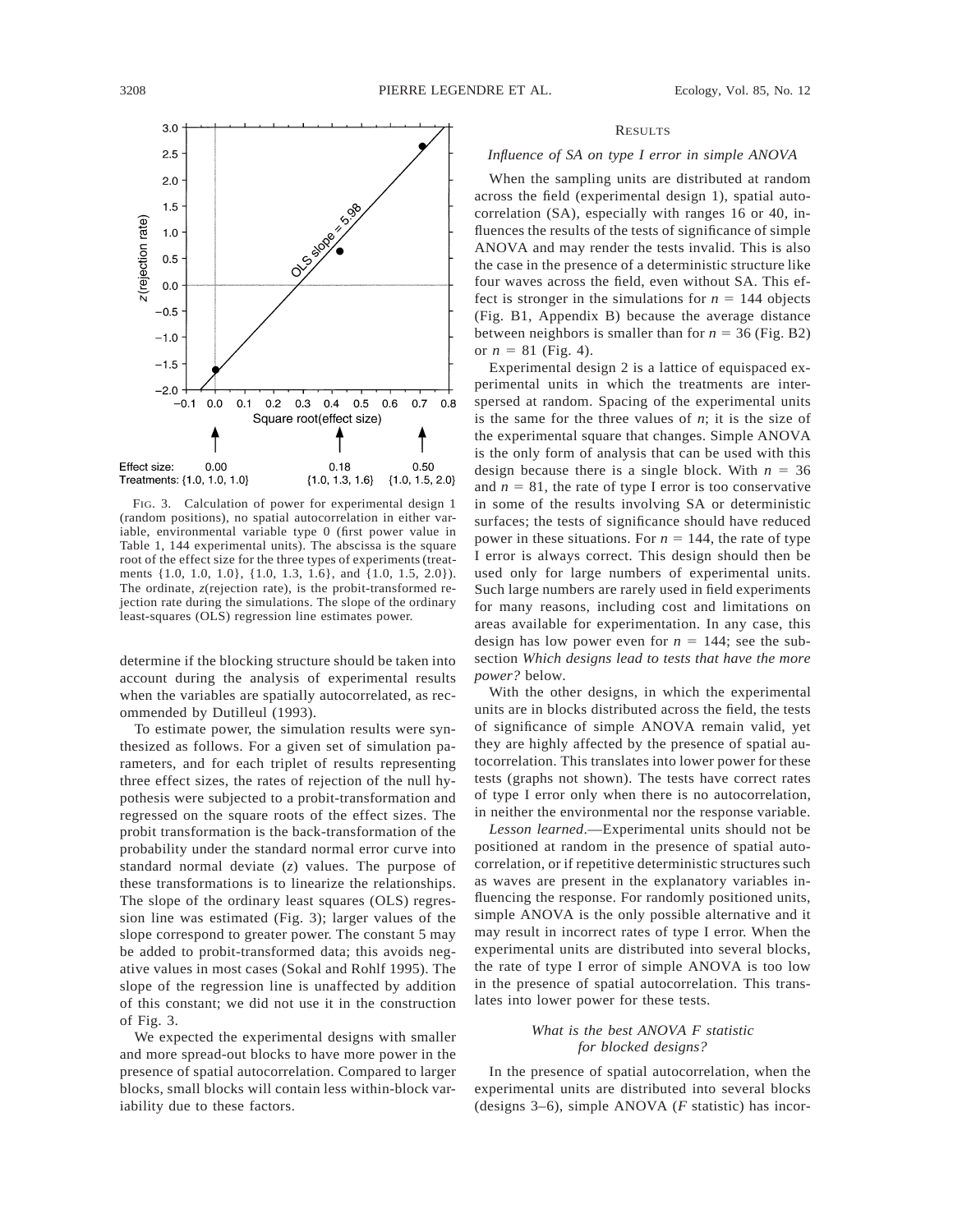

FIG. 3. Calculation of power for experimental design 1 (random positions), no spatial autocorrelation in either variable, environmental variable type 0 (first power value in Table 1, 144 experimental units). The abscissa is the square root of the effect size for the three types of experiments (treatments {1.0, 1.0, 1.0}, {1.0, 1.3, 1.6}, and {1.0, 1.5, 2.0}). The ordinate, *z*(rejection rate), is the probit-transformed rejection rate during the simulations. The slope of the ordinary least-squares (OLS) regression line estimates power.

determine if the blocking structure should be taken into account during the analysis of experimental results when the variables are spatially autocorrelated, as recommended by Dutilleul (1993).

To estimate power, the simulation results were synthesized as follows. For a given set of simulation parameters, and for each triplet of results representing three effect sizes, the rates of rejection of the null hypothesis were subjected to a probit-transformation and regressed on the square roots of the effect sizes. The probit transformation is the back-transformation of the probability under the standard normal error curve into standard normal deviate (*z*) values. The purpose of these transformations is to linearize the relationships. The slope of the ordinary least squares (OLS) regression line was estimated (Fig. 3); larger values of the slope correspond to greater power. The constant 5 may be added to probit-transformed data; this avoids negative values in most cases (Sokal and Rohlf 1995). The slope of the regression line is unaffected by addition of this constant; we did not use it in the construction of Fig. 3.

We expected the experimental designs with smaller and more spread-out blocks to have more power in the presence of spatial autocorrelation. Compared to larger blocks, small blocks will contain less within-block variability due to these factors.

#### RESULTS

### *Influence of SA on type I error in simple ANOVA*

When the sampling units are distributed at random across the field (experimental design 1), spatial autocorrelation (SA), especially with ranges 16 or 40, influences the results of the tests of significance of simple ANOVA and may render the tests invalid. This is also the case in the presence of a deterministic structure like four waves across the field, even without SA. This effect is stronger in the simulations for  $n = 144$  objects (Fig. B1, Appendix B) because the average distance between neighbors is smaller than for  $n = 36$  (Fig. B2) or  $n = 81$  (Fig. 4).

Experimental design 2 is a lattice of equispaced experimental units in which the treatments are interspersed at random. Spacing of the experimental units is the same for the three values of *n*; it is the size of the experimental square that changes. Simple ANOVA is the only form of analysis that can be used with this design because there is a single block. With  $n = 36$ and  $n = 81$ , the rate of type I error is too conservative in some of the results involving SA or deterministic surfaces; the tests of significance should have reduced power in these situations. For  $n = 144$ , the rate of type I error is always correct. This design should then be used only for large numbers of experimental units. Such large numbers are rarely used in field experiments for many reasons, including cost and limitations on areas available for experimentation. In any case, this design has low power even for  $n = 144$ ; see the subsection *Which designs lead to tests that have the more power?* below.

With the other designs, in which the experimental units are in blocks distributed across the field, the tests of significance of simple ANOVA remain valid, yet they are highly affected by the presence of spatial autocorrelation. This translates into lower power for these tests (graphs not shown). The tests have correct rates of type I error only when there is no autocorrelation, in neither the environmental nor the response variable.

*Lesson learned*.—Experimental units should not be positioned at random in the presence of spatial autocorrelation, or if repetitive deterministic structures such as waves are present in the explanatory variables influencing the response. For randomly positioned units, simple ANOVA is the only possible alternative and it may result in incorrect rates of type I error. When the experimental units are distributed into several blocks, the rate of type I error of simple ANOVA is too low in the presence of spatial autocorrelation. This translates into lower power for these tests.

## *What is the best ANOVA F statistic for blocked designs?*

In the presence of spatial autocorrelation, when the experimental units are distributed into several blocks (designs 3–6), simple ANOVA (*F* statistic) has incor-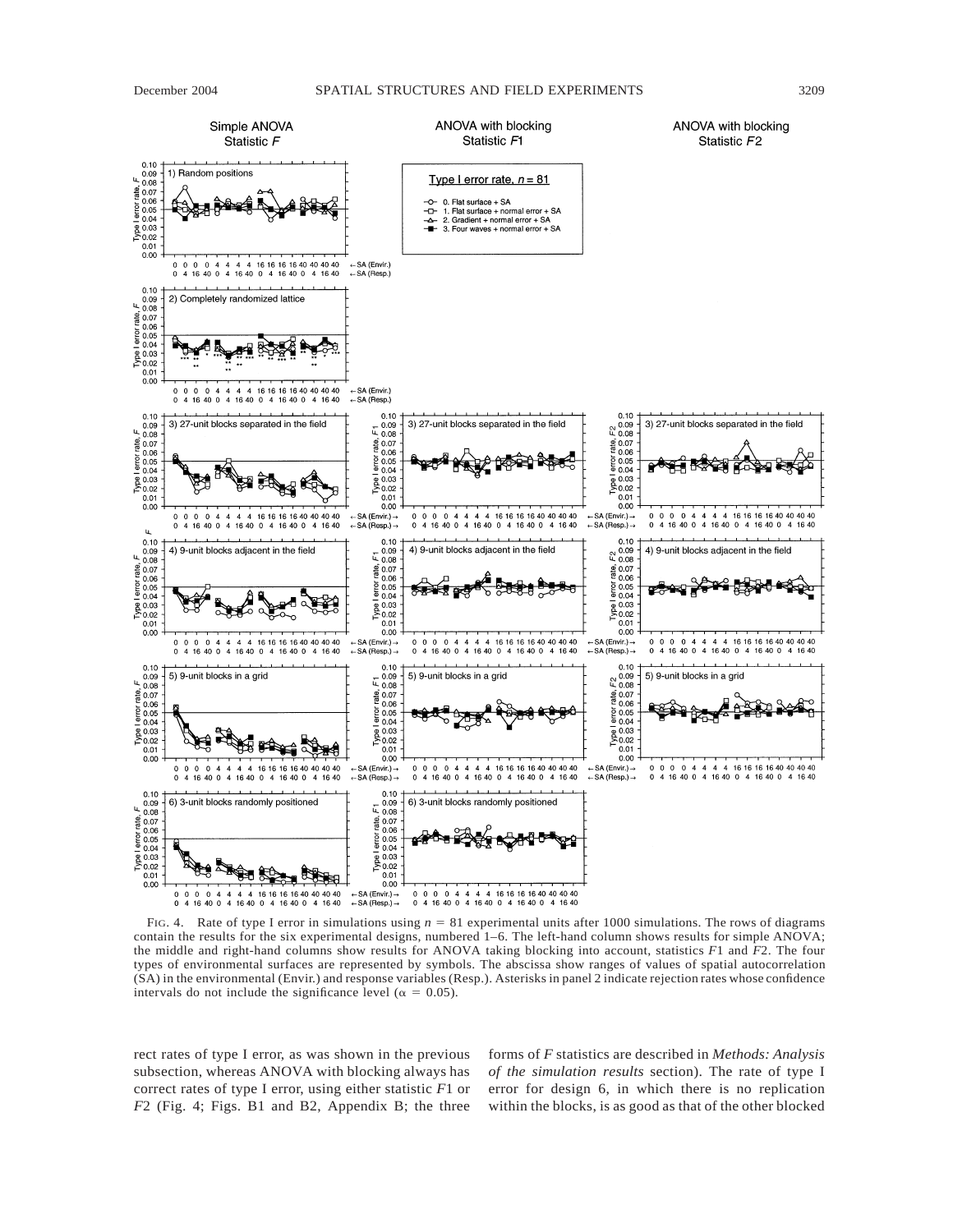

FIG. 4. Rate of type I error in simulations using  $n = 81$  experimental units after 1000 simulations. The rows of diagrams contain the results for the six experimental designs, numbered 1–6. The left-hand column shows results for simple ANOVA; the middle and right-hand columns show results for ANOVA taking blocking into account, statistics *F*1 and *F*2. The four types of environmental surfaces are represented by symbols. The abscissa show ranges of values of spatial autocorrelation (SA) in the environmental (Envir.) and response variables (Resp.). Asterisks in panel 2 indicate rejection rates whose confidence intervals do not include the significance level ( $\alpha = 0.05$ ).

rect rates of type I error, as was shown in the previous subsection, whereas ANOVA with blocking always has correct rates of type I error, using either statistic *F*1 or *F*2 (Fig. 4; Figs. B1 and B2, Appendix B; the three

forms of *F* statistics are described in *Methods: Analysis of the simulation results* section). The rate of type I error for design 6, in which there is no replication within the blocks, is as good as that of the other blocked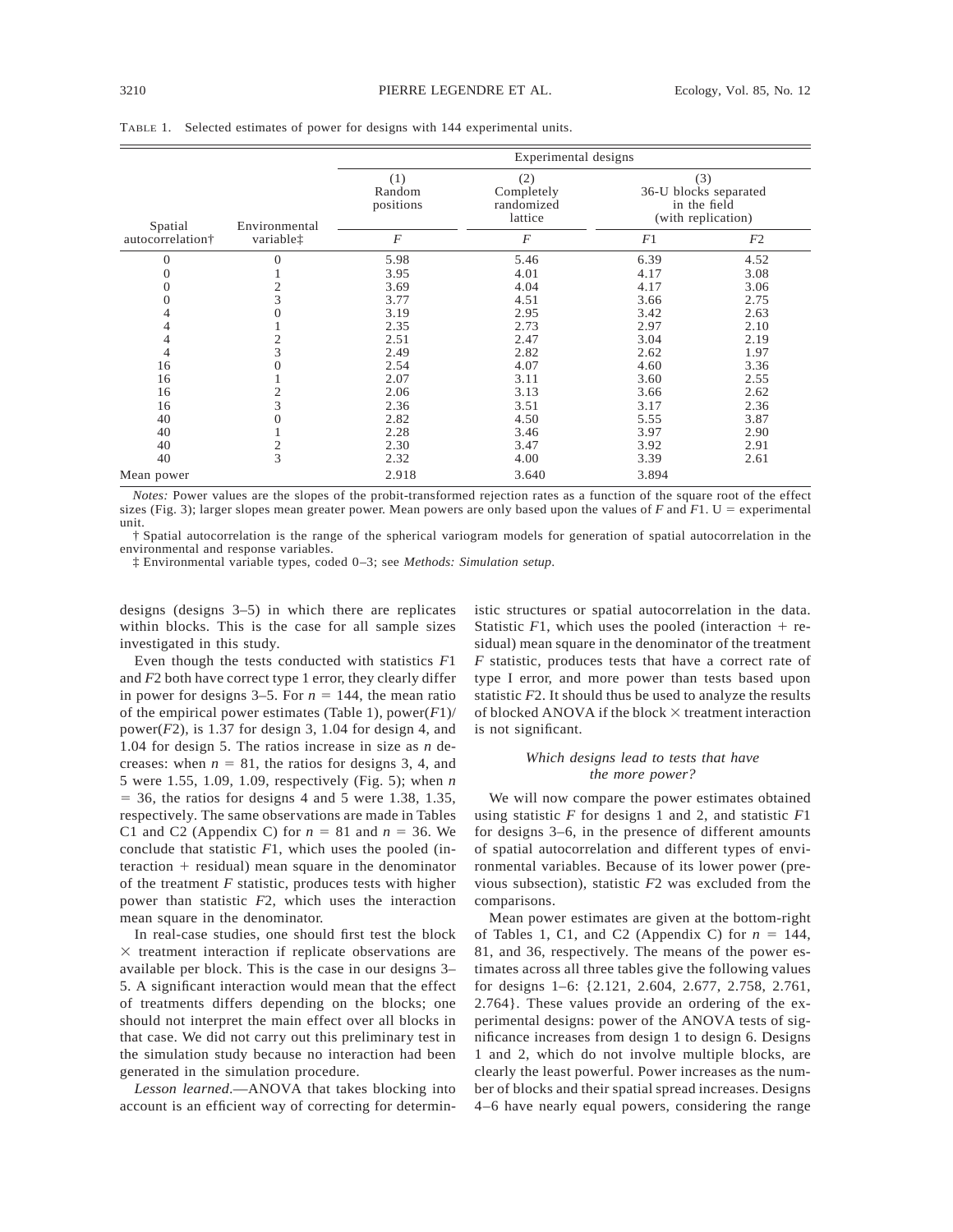TABLE 1. Selected estimates of power for designs with 144 experimental units.

|                  |                       | Experimental designs |                                                                          |       |                                                                    |  |  |
|------------------|-----------------------|----------------------|--------------------------------------------------------------------------|-------|--------------------------------------------------------------------|--|--|
| Spatial          | Environmental         |                      | (1)<br>(2)<br>Completely<br>Random<br>positions<br>randomized<br>lattice |       | (3)<br>36-U blocks separated<br>in the field<br>(with replication) |  |  |
| autocorrelation† | variable <sup>†</sup> | $\overline{F}$       | $\overline{F}$                                                           | F1    | F2                                                                 |  |  |
| 0                | 0                     | 5.98                 | 5.46                                                                     | 6.39  | 4.52                                                               |  |  |
| 0                |                       | 3.95                 | 4.01                                                                     | 4.17  | 3.08                                                               |  |  |
| $\overline{0}$   | $\overline{c}$        | 3.69                 | 4.04                                                                     | 4.17  | 3.06                                                               |  |  |
| $\Omega$         | 3                     | 3.77                 | 4.51                                                                     | 3.66  | 2.75                                                               |  |  |
| 4                | $\theta$              | 3.19                 | 2.95                                                                     | 3.42  | 2.63                                                               |  |  |
| 4                |                       | 2.35                 | 2.73                                                                     | 2.97  | 2.10                                                               |  |  |
| 4                | $\mathfrak{2}$        | 2.51                 | 2.47                                                                     | 3.04  | 2.19                                                               |  |  |
| 4                | 3                     | 2.49                 | 2.82                                                                     | 2.62  | 1.97                                                               |  |  |
| 16               | $\Omega$              | 2.54                 | 4.07                                                                     | 4.60  | 3.36                                                               |  |  |
| 16               |                       | 2.07                 | 3.11                                                                     | 3.60  | 2.55                                                               |  |  |
| 16               | $\overline{2}$        | 2.06                 | 3.13                                                                     | 3.66  | 2.62                                                               |  |  |
| 16               | 3                     | 2.36                 | 3.51                                                                     | 3.17  | 2.36                                                               |  |  |
| 40               | $\overline{0}$        | 2.82                 | 4.50                                                                     | 5.55  | 3.87                                                               |  |  |
| 40               |                       | 2.28                 | 3.46                                                                     | 3.97  | 2.90                                                               |  |  |
| 40               | $\frac{2}{3}$         | 2.30                 | 3.47                                                                     | 3.92  | 2.91                                                               |  |  |
| 40               |                       | 2.32                 | 4.00                                                                     | 3.39  | 2.61                                                               |  |  |
| Mean power       |                       | 2.918                | 3.640                                                                    | 3.894 |                                                                    |  |  |

*Notes:* Power values are the slopes of the probit-transformed rejection rates as a function of the square root of the effect sizes (Fig. 3); larger slopes mean greater power. Mean powers are only based upon the values of  $F$  and  $F1$ . U = experimental unit.

† Spatial autocorrelation is the range of the spherical variogram models for generation of spatial autocorrelation in the environmental and response variables.

‡ Environmental variable types, coded 0–3; see *Methods: Simulation setup*.

designs (designs 3–5) in which there are replicates within blocks. This is the case for all sample sizes investigated in this study.

Even though the tests conducted with statistics *F*1 and *F*2 both have correct type 1 error, they clearly differ in power for designs  $3-5$ . For  $n = 144$ , the mean ratio of the empirical power estimates (Table 1), power(*F*1)/ power $(F2)$ , is 1.37 for design 3, 1.04 for design 4, and 1.04 for design 5. The ratios increase in size as *n* decreases: when  $n = 81$ , the ratios for designs 3, 4, and 5 were 1.55, 1.09, 1.09, respectively (Fig. 5); when *n*  $=$  36, the ratios for designs 4 and 5 were 1.38, 1.35, respectively. The same observations are made in Tables C1 and C2 (Appendix C) for  $n = 81$  and  $n = 36$ . We conclude that statistic *F*1, which uses the pooled (in $t$ eraction  $+$  residual) mean square in the denominator of the treatment *F* statistic, produces tests with higher power than statistic *F*2, which uses the interaction mean square in the denominator.

In real-case studies, one should first test the block  $\times$  treatment interaction if replicate observations are available per block. This is the case in our designs 3– 5. A significant interaction would mean that the effect of treatments differs depending on the blocks; one should not interpret the main effect over all blocks in that case. We did not carry out this preliminary test in the simulation study because no interaction had been generated in the simulation procedure.

*Lesson learned*.—ANOVA that takes blocking into account is an efficient way of correcting for deterministic structures or spatial autocorrelation in the data. Statistic  $F1$ , which uses the pooled (interaction  $+$  residual) mean square in the denominator of the treatment *F* statistic, produces tests that have a correct rate of type I error, and more power than tests based upon statistic *F*2. It should thus be used to analyze the results of blocked ANOVA if the block  $\times$  treatment interaction is not significant.

### *Which designs lead to tests that have the more power?*

We will now compare the power estimates obtained using statistic *F* for designs 1 and 2, and statistic *F*1 for designs 3–6, in the presence of different amounts of spatial autocorrelation and different types of environmental variables. Because of its lower power (previous subsection), statistic *F*2 was excluded from the comparisons.

Mean power estimates are given at the bottom-right of Tables 1, C1, and C2 (Appendix C) for  $n = 144$ , 81, and 36, respectively. The means of the power estimates across all three tables give the following values for designs 1–6: {2.121, 2.604, 2.677, 2.758, 2.761, 2.764}. These values provide an ordering of the experimental designs: power of the ANOVA tests of significance increases from design 1 to design 6. Designs 1 and 2, which do not involve multiple blocks, are clearly the least powerful. Power increases as the number of blocks and their spatial spread increases. Designs 4–6 have nearly equal powers, considering the range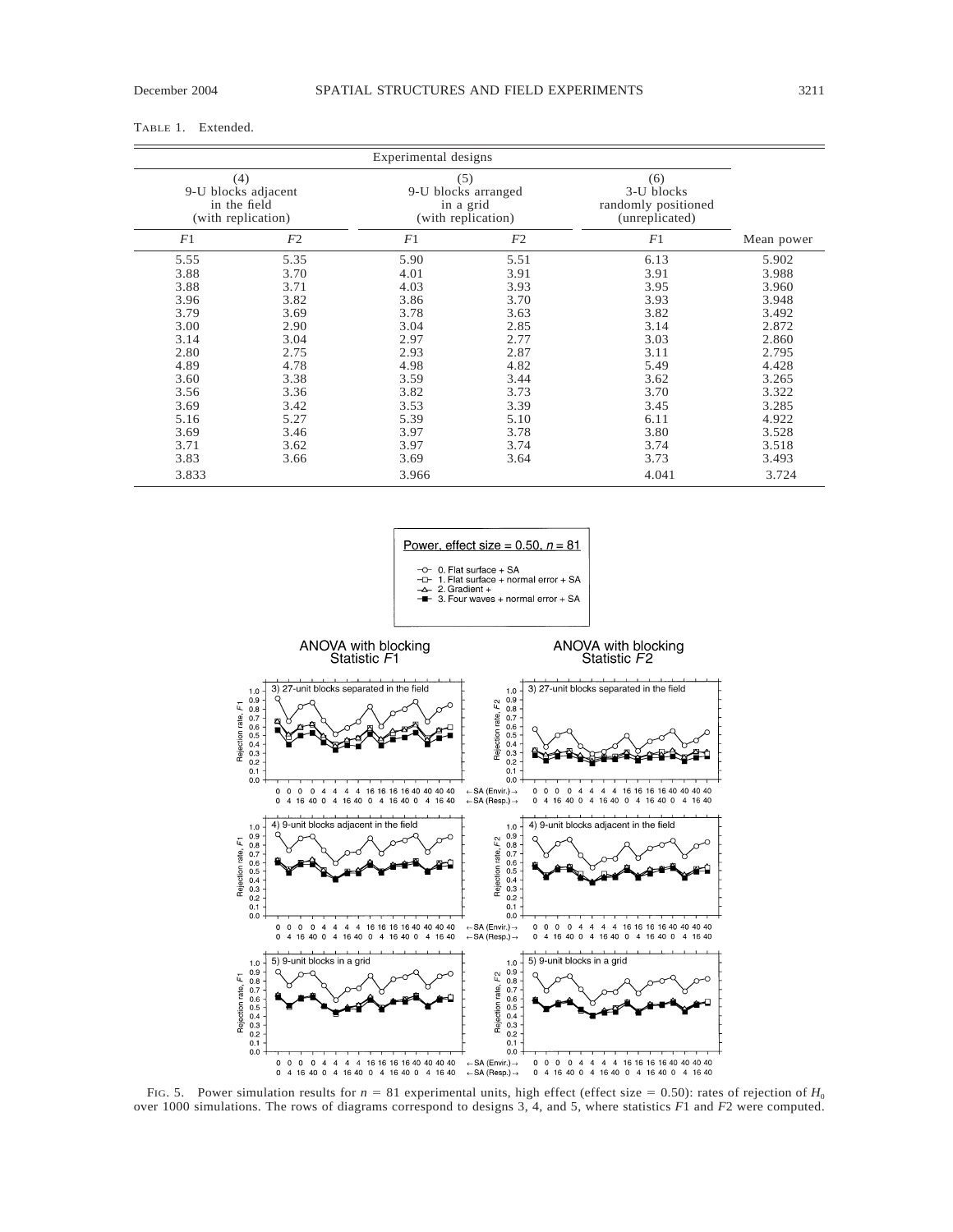## TABLE 1. Extended.

|                                                                  |      | Experimental designs                                          |      |                                                            |            |
|------------------------------------------------------------------|------|---------------------------------------------------------------|------|------------------------------------------------------------|------------|
| (4)<br>9-U blocks adjacent<br>in the field<br>(with replication) |      | (5)<br>9-U blocks arranged<br>in a grid<br>(with replication) |      | (6)<br>3-U blocks<br>randomly positioned<br>(unreplicated) |            |
| F1                                                               | F2   | F1                                                            | F2   | F1                                                         | Mean power |
| 5.55                                                             | 5.35 | 5.90                                                          | 5.51 | 6.13                                                       | 5.902      |
| 3.88                                                             | 3.70 | 4.01                                                          | 3.91 | 3.91                                                       | 3.988      |
| 3.88                                                             | 3.71 | 4.03                                                          | 3.93 | 3.95                                                       | 3.960      |
| 3.96                                                             | 3.82 | 3.86                                                          | 3.70 | 3.93                                                       | 3.948      |
| 3.79                                                             | 3.69 | 3.78                                                          | 3.63 | 3.82                                                       | 3.492      |
| 3.00                                                             | 2.90 | 3.04                                                          | 2.85 | 3.14                                                       | 2.872      |
| 3.14                                                             | 3.04 | 2.97                                                          | 2.77 | 3.03                                                       | 2.860      |
| 2.80                                                             | 2.75 | 2.93                                                          | 2.87 | 3.11                                                       | 2.795      |
| 4.89                                                             | 4.78 | 4.98                                                          | 4.82 | 5.49                                                       | 4.428      |
| 3.60                                                             | 3.38 | 3.59                                                          | 3.44 | 3.62                                                       | 3.265      |
| 3.56                                                             | 3.36 | 3.82                                                          | 3.73 | 3.70                                                       | 3.322      |
| 3.69                                                             | 3.42 | 3.53                                                          | 3.39 | 3.45                                                       | 3.285      |
| 5.16                                                             | 5.27 | 5.39                                                          | 5.10 | 6.11                                                       | 4.922      |
| 3.69                                                             | 3.46 | 3.97                                                          | 3.78 | 3.80                                                       | 3.528      |
| 3.71                                                             | 3.62 | 3.97                                                          | 3.74 | 3.74                                                       | 3.518      |
| 3.83                                                             | 3.66 | 3.69                                                          | 3.64 | 3.73                                                       | 3.493      |
| 3.833                                                            |      | 3.966                                                         |      | 4.041                                                      | 3.724      |

Power, effect size =  $0.50$ ,  $n = 81$  $-$ O- 0. Flat surface + SA<br> $-$ D- 1. Flat surface + normal error + SA<br> $\Delta$ - 2. Gradient +

 $-2$  1. Flat surface + normal error + SA<br> $-2$ . Gradient +<br> $\overline{=}$  3. Four waves + normal error + SA



FIG. 5. Power simulation results for  $n = 81$  experimental units, high effect (effect size = 0.50): rates of rejection of  $H_0$ over 1000 simulations. The rows of diagrams correspond to designs 3, 4, and 5, where statistics *F*1 and *F*2 were computed.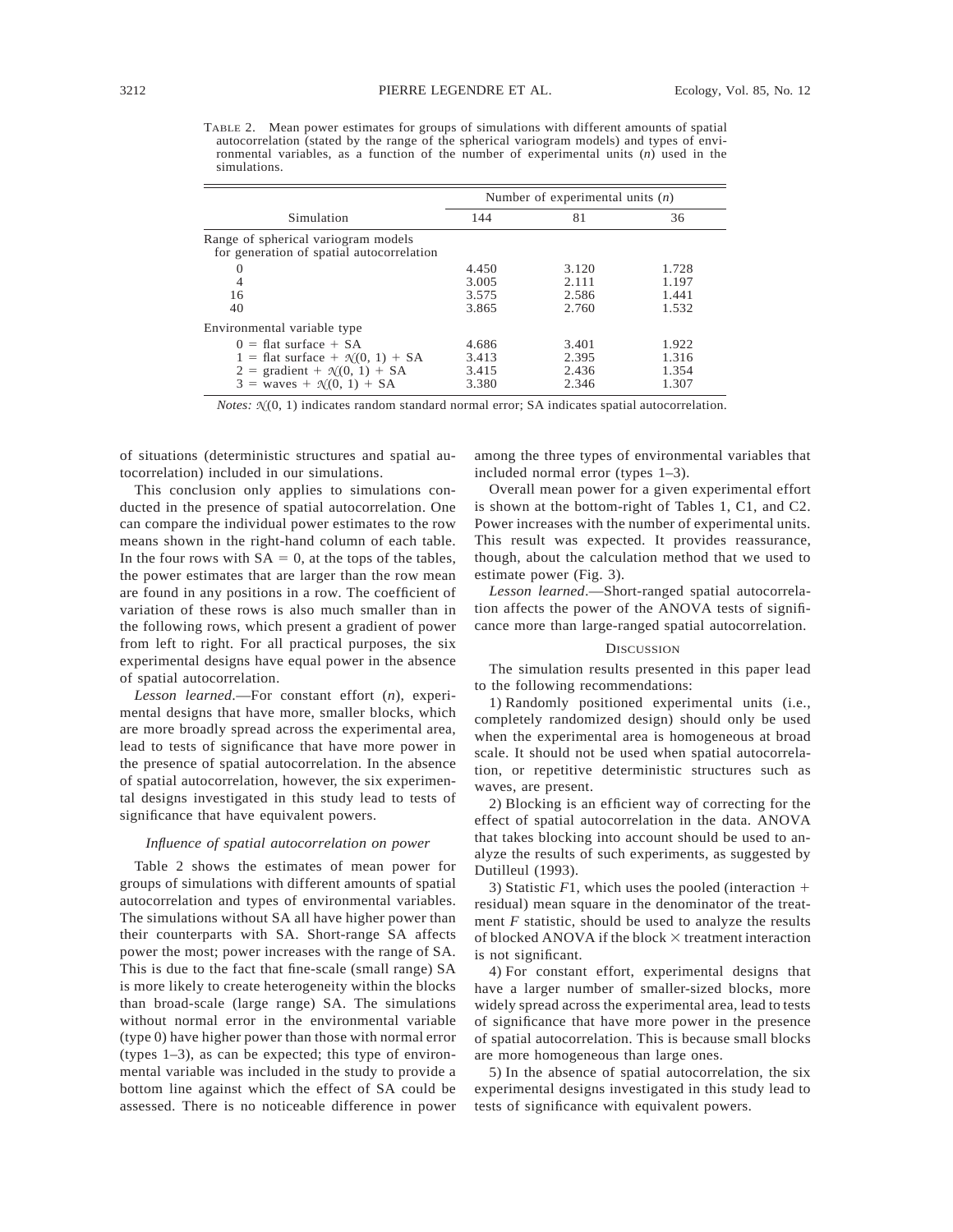TABLE 2. Mean power estimates for groups of simulations with different amounts of spatial autocorrelation (stated by the range of the spherical variogram models) and types of environmental variables, as a function of the number of experimental units (*n*) used in the simulations.

|                                                                                  | Number of experimental units $(n)$ |       |       |  |  |
|----------------------------------------------------------------------------------|------------------------------------|-------|-------|--|--|
| Simulation                                                                       | 144                                | 81    | 36    |  |  |
| Range of spherical variogram models<br>for generation of spatial autocorrelation |                                    |       |       |  |  |
| $\Omega$                                                                         | 4.450                              | 3.120 | 1.728 |  |  |
| $\overline{4}$                                                                   | 3.005                              | 2.111 | 1.197 |  |  |
| 16                                                                               | 3.575                              | 2.586 | 1.441 |  |  |
| 40                                                                               | 3.865                              | 2.760 | 1.532 |  |  |
| Environmental variable type                                                      |                                    |       |       |  |  |
| $0 = \text{flat surface} + \text{SA}$                                            | 4.686                              | 3.401 | 1.922 |  |  |
| 1 = flat surface + $\mathcal{N}(0, 1)$ + SA                                      | 3.413                              | 2.395 | 1.316 |  |  |
| $2 = gradient + \mathcal{N}(0, 1) + SA$                                          | 3.415                              | 2.436 | 1.354 |  |  |
| $3 =$ waves + $\mathcal{N}(0, 1)$ + SA                                           | 3.380                              | 2.346 | 1.307 |  |  |

*Notes:*  $\mathcal{N}(0, 1)$  indicates random standard normal error; SA indicates spatial autocorrelation.

of situations (deterministic structures and spatial autocorrelation) included in our simulations.

This conclusion only applies to simulations conducted in the presence of spatial autocorrelation. One can compare the individual power estimates to the row means shown in the right-hand column of each table. In the four rows with  $SA = 0$ , at the tops of the tables, the power estimates that are larger than the row mean are found in any positions in a row. The coefficient of variation of these rows is also much smaller than in the following rows, which present a gradient of power from left to right. For all practical purposes, the six experimental designs have equal power in the absence of spatial autocorrelation.

*Lesson learned*.—For constant effort (*n*), experimental designs that have more, smaller blocks, which are more broadly spread across the experimental area, lead to tests of significance that have more power in the presence of spatial autocorrelation. In the absence of spatial autocorrelation, however, the six experimental designs investigated in this study lead to tests of significance that have equivalent powers.

#### *Influence of spatial autocorrelation on power*

Table 2 shows the estimates of mean power for groups of simulations with different amounts of spatial autocorrelation and types of environmental variables. The simulations without SA all have higher power than their counterparts with SA. Short-range SA affects power the most; power increases with the range of SA. This is due to the fact that fine-scale (small range) SA is more likely to create heterogeneity within the blocks than broad-scale (large range) SA. The simulations without normal error in the environmental variable (type 0) have higher power than those with normal error (types 1–3), as can be expected; this type of environmental variable was included in the study to provide a bottom line against which the effect of SA could be assessed. There is no noticeable difference in power among the three types of environmental variables that included normal error (types 1–3).

Overall mean power for a given experimental effort is shown at the bottom-right of Tables 1, C1, and C2. Power increases with the number of experimental units. This result was expected. It provides reassurance, though, about the calculation method that we used to estimate power (Fig. 3).

*Lesson learned*.—Short-ranged spatial autocorrelation affects the power of the ANOVA tests of significance more than large-ranged spatial autocorrelation.

#### **DISCUSSION**

The simulation results presented in this paper lead to the following recommendations:

1) Randomly positioned experimental units (i.e., completely randomized design) should only be used when the experimental area is homogeneous at broad scale. It should not be used when spatial autocorrelation, or repetitive deterministic structures such as waves, are present.

2) Blocking is an efficient way of correcting for the effect of spatial autocorrelation in the data. ANOVA that takes blocking into account should be used to analyze the results of such experiments, as suggested by Dutilleul (1993).

3) Statistic  $F1$ , which uses the pooled (interaction  $+$ residual) mean square in the denominator of the treatment *F* statistic, should be used to analyze the results of blocked ANOVA if the block  $\times$  treatment interaction is not significant.

4) For constant effort, experimental designs that have a larger number of smaller-sized blocks, more widely spread across the experimental area, lead to tests of significance that have more power in the presence of spatial autocorrelation. This is because small blocks are more homogeneous than large ones.

5) In the absence of spatial autocorrelation, the six experimental designs investigated in this study lead to tests of significance with equivalent powers.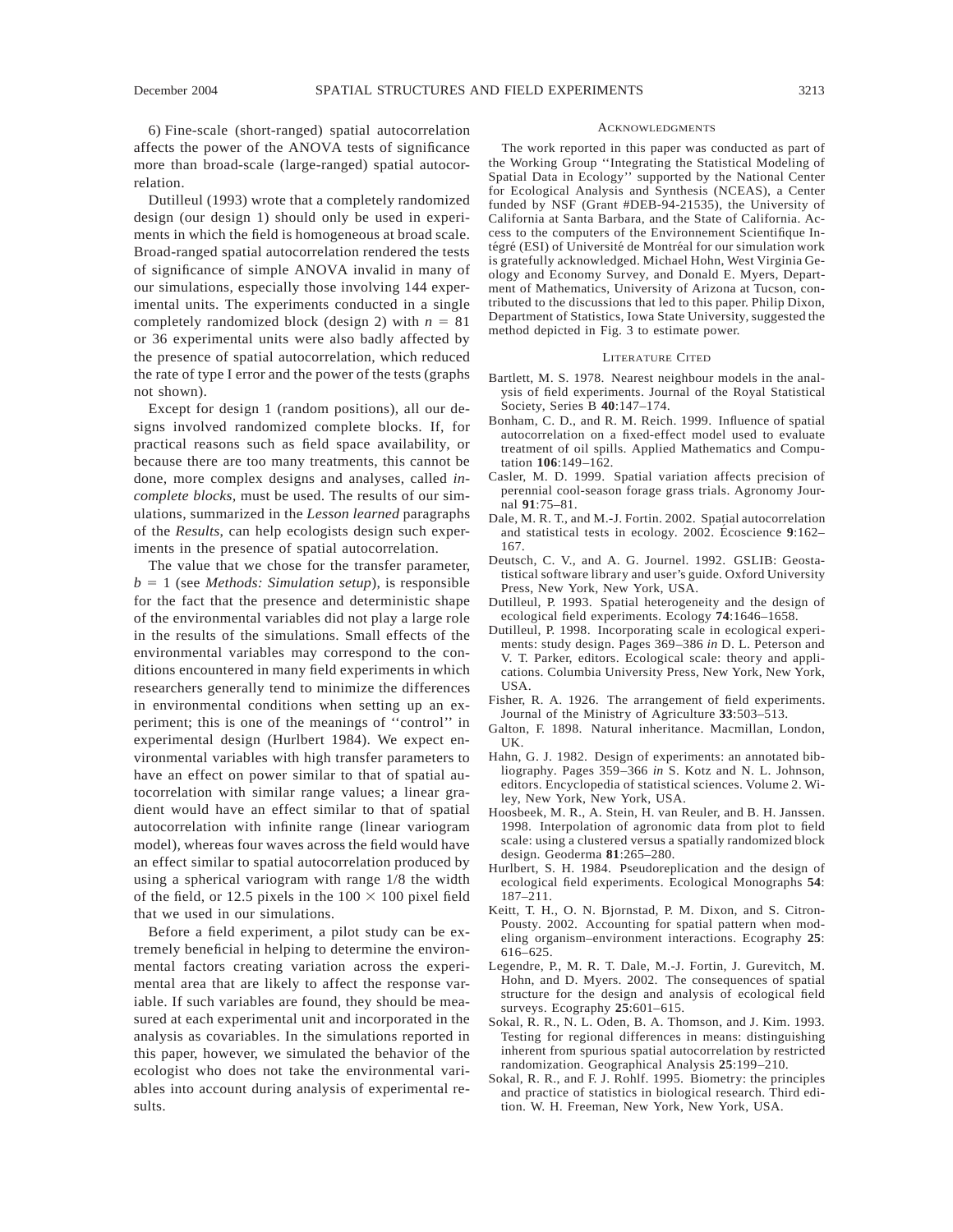Dutilleul (1993) wrote that a completely randomized design (our design 1) should only be used in experiments in which the field is homogeneous at broad scale. Broad-ranged spatial autocorrelation rendered the tests of significance of simple ANOVA invalid in many of our simulations, especially those involving 144 experimental units. The experiments conducted in a single completely randomized block (design 2) with  $n = 81$ or 36 experimental units were also badly affected by the presence of spatial autocorrelation, which reduced the rate of type I error and the power of the tests (graphs not shown).

Except for design 1 (random positions), all our designs involved randomized complete blocks. If, for practical reasons such as field space availability, or because there are too many treatments, this cannot be done, more complex designs and analyses, called *incomplete blocks,* must be used. The results of our simulations, summarized in the *Lesson learned* paragraphs of the *Results*, can help ecologists design such experiments in the presence of spatial autocorrelation.

The value that we chose for the transfer parameter,  $b = 1$  (see *Methods: Simulation setup*), is responsible for the fact that the presence and deterministic shape of the environmental variables did not play a large role in the results of the simulations. Small effects of the environmental variables may correspond to the conditions encountered in many field experiments in which researchers generally tend to minimize the differences in environmental conditions when setting up an experiment; this is one of the meanings of ''control'' in experimental design (Hurlbert 1984). We expect environmental variables with high transfer parameters to have an effect on power similar to that of spatial autocorrelation with similar range values; a linear gradient would have an effect similar to that of spatial autocorrelation with infinite range (linear variogram model), whereas four waves across the field would have an effect similar to spatial autocorrelation produced by using a spherical variogram with range 1/8 the width of the field, or 12.5 pixels in the  $100 \times 100$  pixel field that we used in our simulations.

Before a field experiment, a pilot study can be extremely beneficial in helping to determine the environmental factors creating variation across the experimental area that are likely to affect the response variable. If such variables are found, they should be measured at each experimental unit and incorporated in the analysis as covariables. In the simulations reported in this paper, however, we simulated the behavior of the ecologist who does not take the environmental variables into account during analysis of experimental results.

#### ACKNOWLEDGMENTS

The work reported in this paper was conducted as part of the Working Group ''Integrating the Statistical Modeling of Spatial Data in Ecology'' supported by the National Center for Ecological Analysis and Synthesis (NCEAS), a Center funded by NSF (Grant #DEB-94-21535), the University of California at Santa Barbara, and the State of California. Access to the computers of the Environnement Scientifique Intégré (ESI) of Université de Montréal for our simulation work is gratefully acknowledged. Michael Hohn, West Virginia Geology and Economy Survey, and Donald E. Myers, Department of Mathematics, University of Arizona at Tucson, contributed to the discussions that led to this paper. Philip Dixon, Department of Statistics, Iowa State University, suggested the method depicted in Fig. 3 to estimate power.

#### LITERATURE CITED

- Bartlett, M. S. 1978. Nearest neighbour models in the analysis of field experiments. Journal of the Royal Statistical Society, Series B **40**:147–174.
- Bonham, C. D., and R. M. Reich. 1999. Influence of spatial autocorrelation on a fixed-effect model used to evaluate treatment of oil spills. Applied Mathematics and Computation **106**:149–162.
- Casler, M. D. 1999. Spatial variation affects precision of perennial cool-season forage grass trials. Agronomy Journal **91**:75–81.
- Dale, M. R. T., and M.-J. Fortin. 2002. Spatial autocorrelation and statistical tests in ecology. 2002. Écoscience 9:162– 167.
- Deutsch, C. V., and A. G. Journel. 1992. GSLIB: Geostatistical software library and user's guide. Oxford University Press, New York, New York, USA.
- Dutilleul, P. 1993. Spatial heterogeneity and the design of ecological field experiments. Ecology **74**:1646–1658.
- Dutilleul, P. 1998. Incorporating scale in ecological experiments: study design. Pages 369–386 *in* D. L. Peterson and V. T. Parker, editors. Ecological scale: theory and applications. Columbia University Press, New York, New York, USA.
- Fisher, R. A. 1926. The arrangement of field experiments. Journal of the Ministry of Agriculture **33**:503–513.
- Galton, F. 1898. Natural inheritance. Macmillan, London, UK.
- Hahn, G. J. 1982. Design of experiments: an annotated bibliography. Pages 359–366 *in* S. Kotz and N. L. Johnson, editors. Encyclopedia of statistical sciences. Volume 2. Wiley, New York, New York, USA.
- Hoosbeek, M. R., A. Stein, H. van Reuler, and B. H. Janssen. 1998. Interpolation of agronomic data from plot to field scale: using a clustered versus a spatially randomized block design. Geoderma **81**:265–280.
- Hurlbert, S. H. 1984. Pseudoreplication and the design of ecological field experiments. Ecological Monographs **54**: 187–211.
- Keitt, T. H., O. N. Bjornstad, P. M. Dixon, and S. Citron-Pousty. 2002. Accounting for spatial pattern when modeling organism–environment interactions. Ecography **25**: 616–625.
- Legendre, P., M. R. T. Dale, M.-J. Fortin, J. Gurevitch, M. Hohn, and D. Myers. 2002. The consequences of spatial structure for the design and analysis of ecological field surveys. Ecography **25**:601–615.
- Sokal, R. R., N. L. Oden, B. A. Thomson, and J. Kim. 1993. Testing for regional differences in means: distinguishing inherent from spurious spatial autocorrelation by restricted randomization. Geographical Analysis **25**:199–210.
- Sokal, R. R., and F. J. Rohlf. 1995. Biometry: the principles and practice of statistics in biological research. Third edition. W. H. Freeman, New York, New York, USA.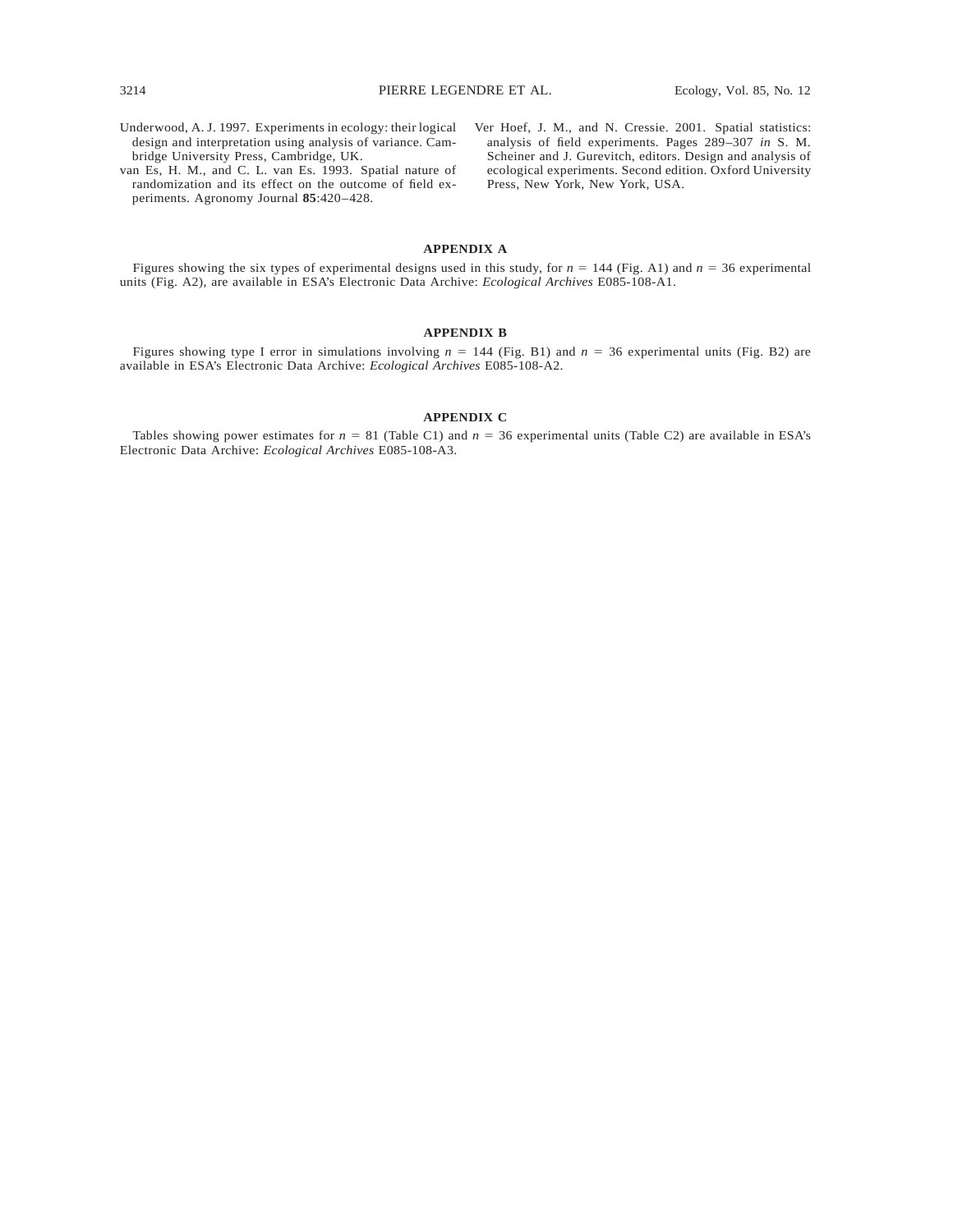- Underwood, A. J. 1997. Experiments in ecology: their logical design and interpretation using analysis of variance. Cambridge University Press, Cambridge, UK.
- van Es, H. M., and C. L. van Es. 1993. Spatial nature of randomization and its effect on the outcome of field experiments. Agronomy Journal **85**:420–428.
- Ver Hoef, J. M., and N. Cressie. 2001. Spatial statistics: analysis of field experiments. Pages 289–307 *in* S. M. Scheiner and J. Gurevitch, editors. Design and analysis of ecological experiments. Second edition. Oxford University Press, New York, New York, USA.

## **APPENDIX A**

Figures showing the six types of experimental designs used in this study, for  $n = 144$  (Fig. A1) and  $n = 36$  experimental units (Fig. A2), are available in ESA's Electronic Data Archive: *Ecological Archives* E085-108-A1.

### **APPENDIX B**

Figures showing type I error in simulations involving  $n = 144$  (Fig. B1) and  $n = 36$  experimental units (Fig. B2) are available in ESA's Electronic Data Archive: *Ecological Archives* E085-108-A2.

### **APPENDIX C**

Tables showing power estimates for  $n = 81$  (Table C1) and  $n = 36$  experimental units (Table C2) are available in ESA's Electronic Data Archive: *Ecological Archives* E085-108-A3.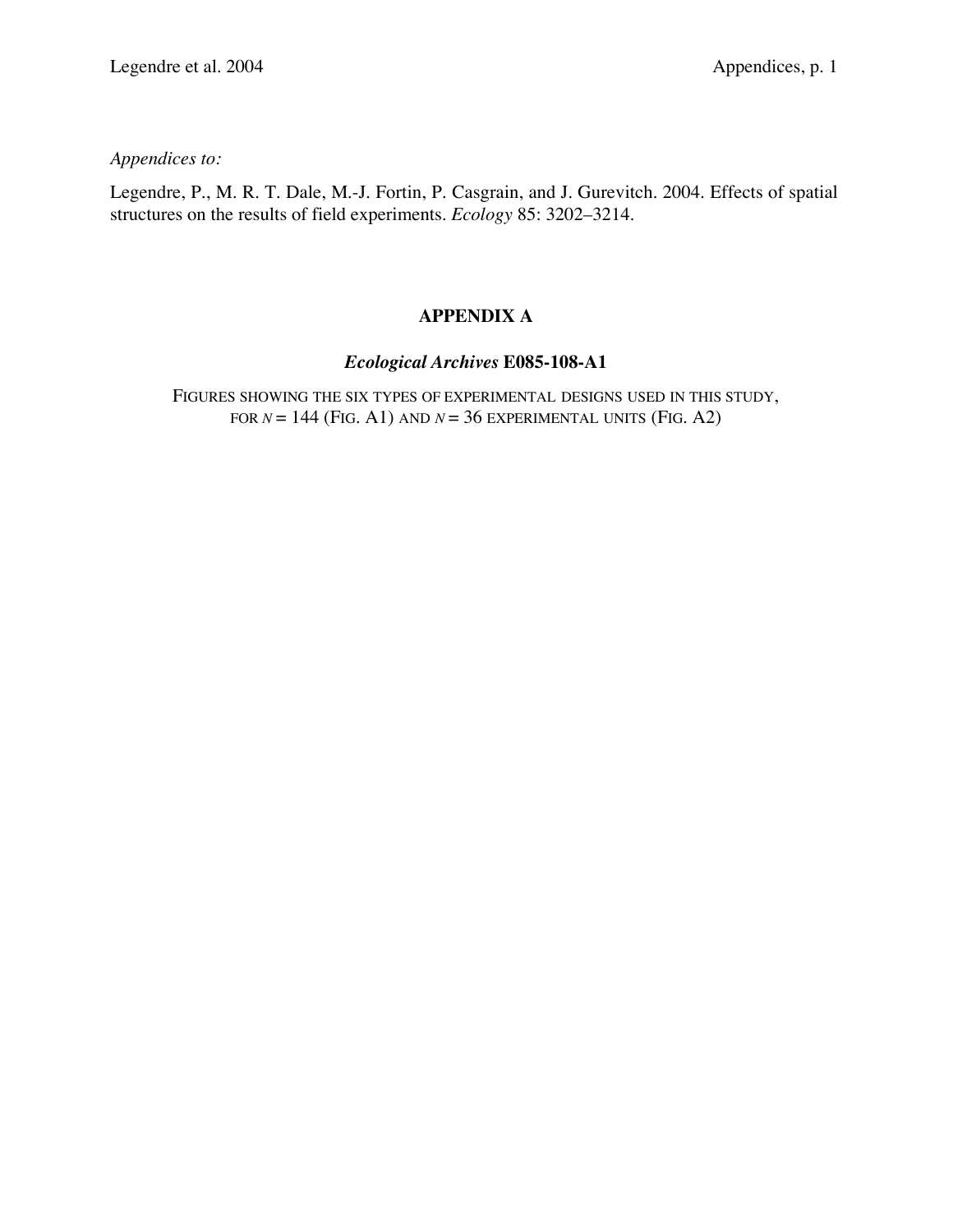*Appendices to:*

Legendre, P., M. R. T. Dale, M.-J. Fortin, P. Casgrain, and J. Gurevitch. 2004. Effects of spatial structures on the results of field experiments. *Ecology* 85: 3202–3214.

# **APPENDIX A**

# *Ecological Archives* **E085-108-A1**

FIGURES SHOWING THE SIX TYPES OF EXPERIMENTAL DESIGNS USED IN THIS STUDY, FOR  $N = 144$  (FIG. A1) AND  $N = 36$  EXPERIMENTAL UNITS (FIG. A2)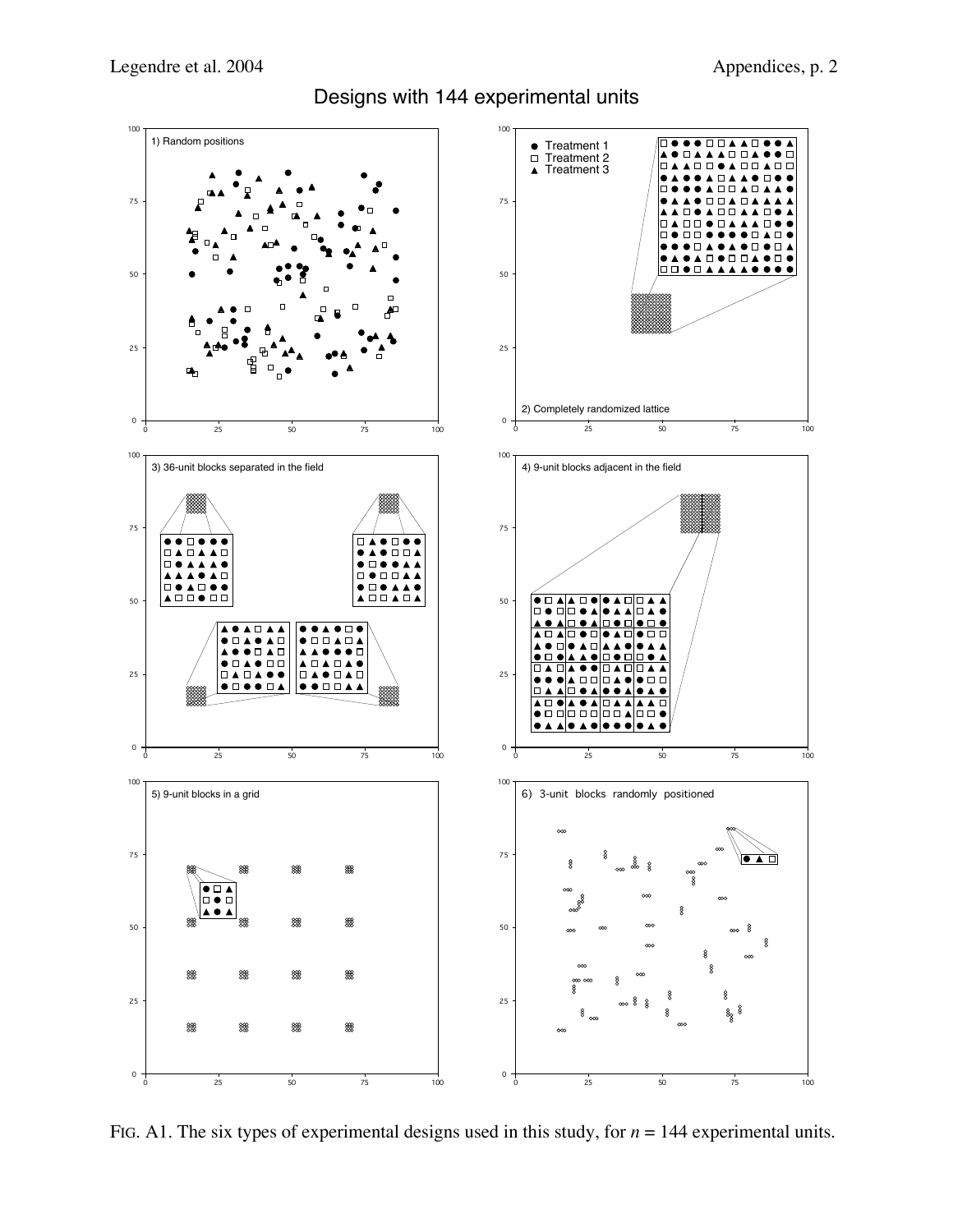Designs with 144 experimental units



FIG. A1. The six types of experimental designs used in this study, for  $n = 144$  experimental units.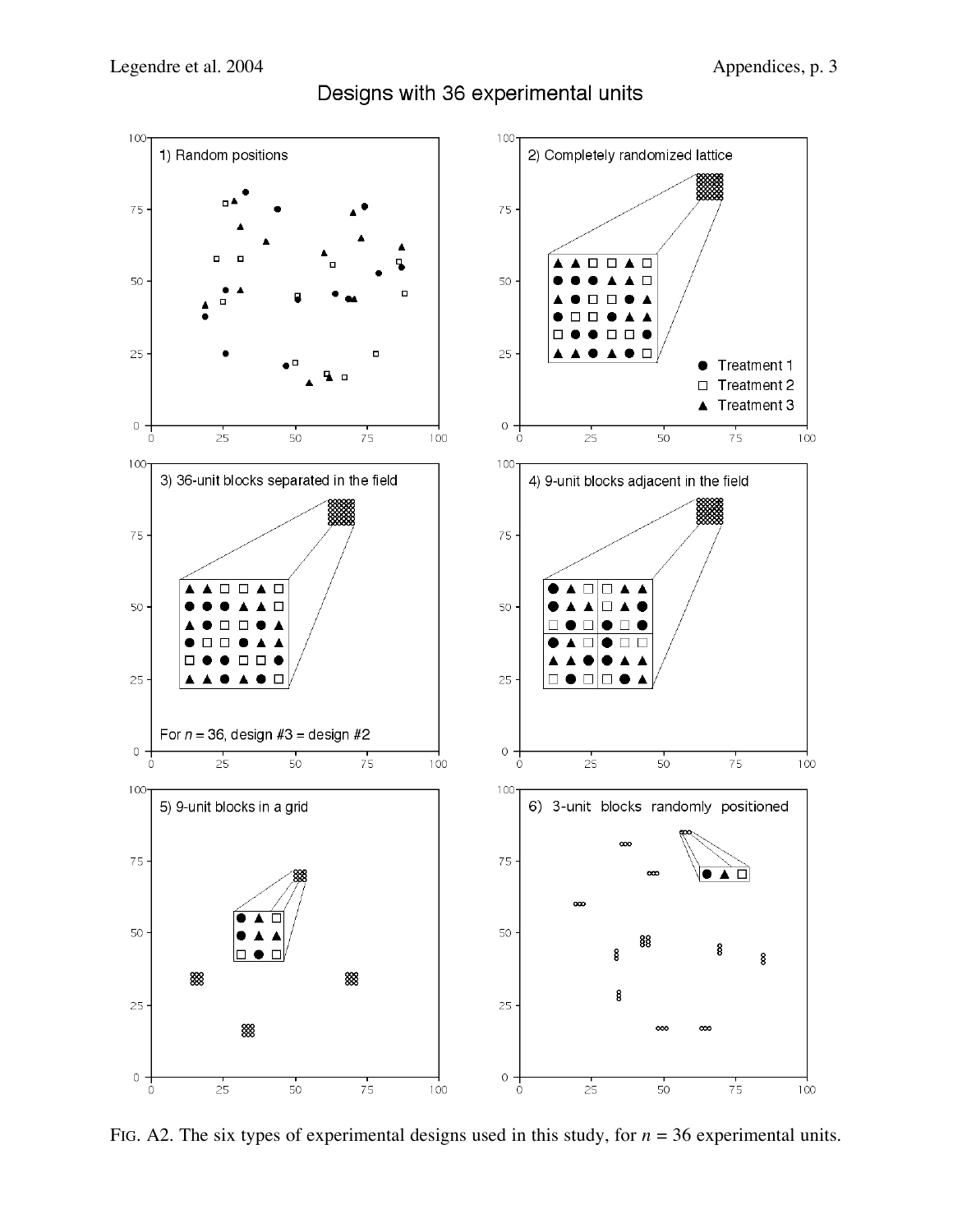Designs with 36 experimental units



FIG. A2. The six types of experimental designs used in this study, for *n* = 36 experimental units.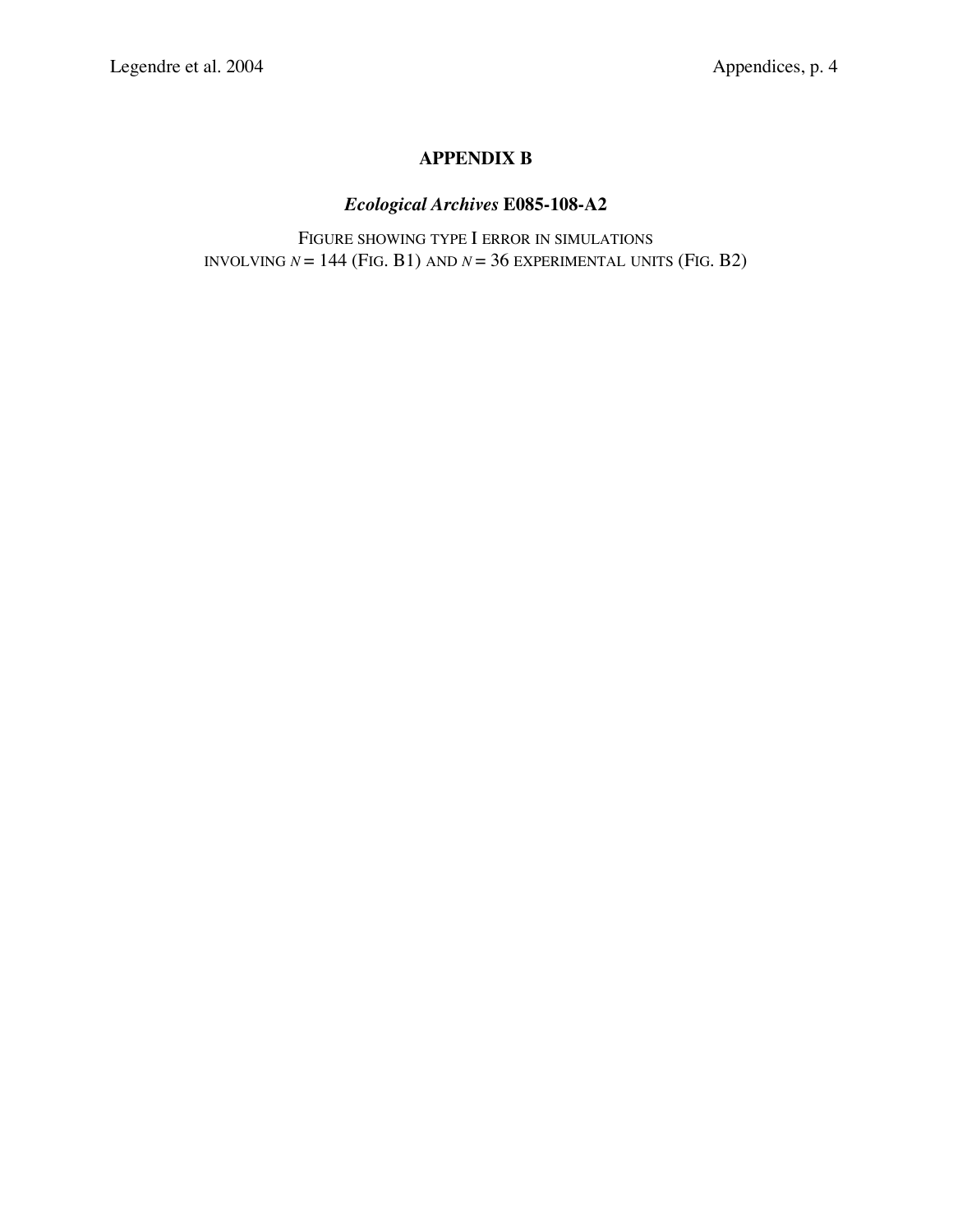# **APPENDIX B**

# *Ecological Archives* **E085-108-A2**

FIGURE SHOWING TYPE I ERROR IN SIMULATIONS INVOLVING  $N = 144$  (FIG. B1) AND  $N = 36$  EXPERIMENTAL UNITS (FIG. B2)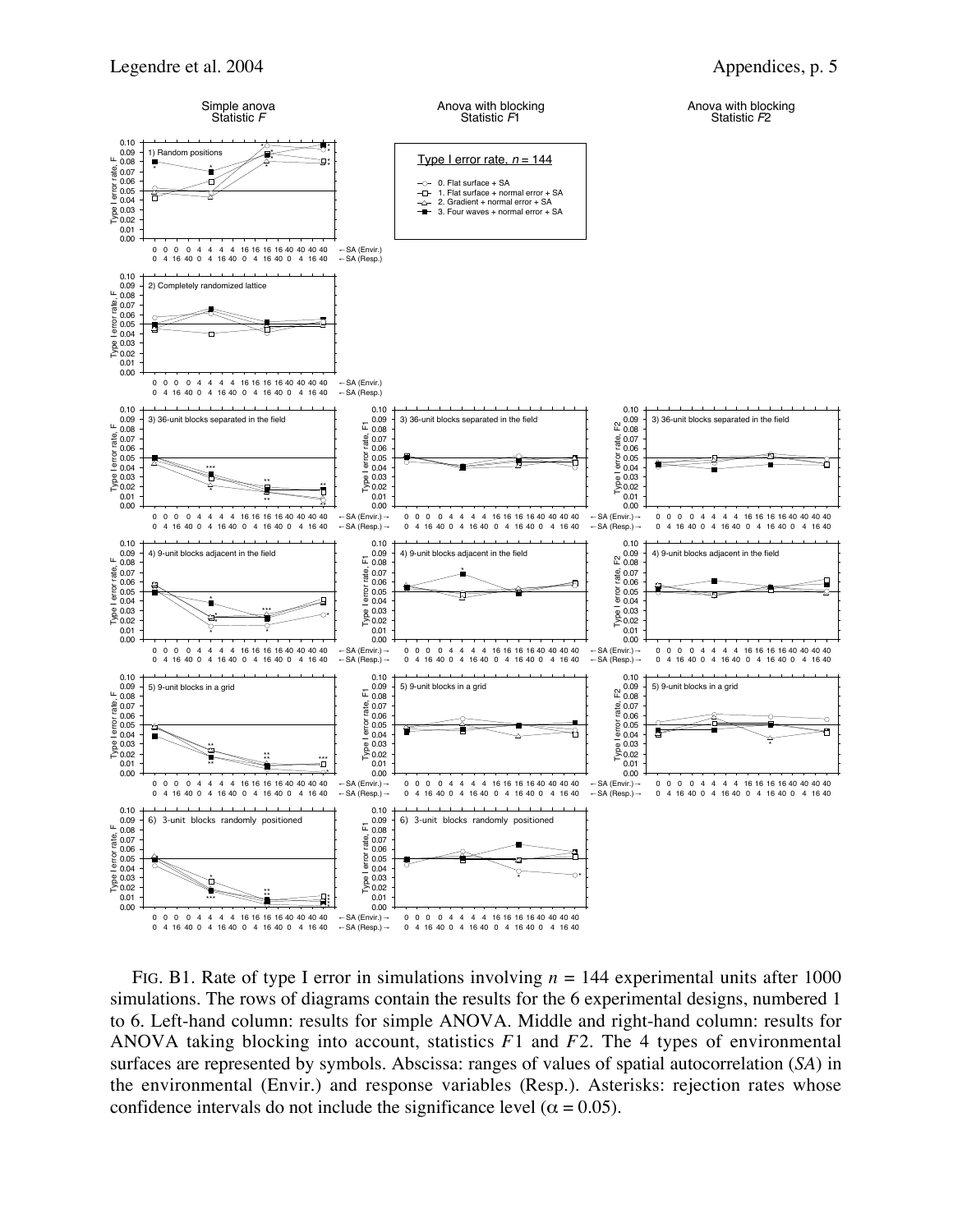

FIG. B1. Rate of type I error in simulations involving  $n = 144$  experimental units after 1000 simulations. The rows of diagrams contain the results for the 6 experimental designs, numbered 1 to 6. Left-hand column: results for simple ANOVA. Middle and right-hand column: results for ANOVA taking blocking into account, statistics *F*1 and *F*2. The 4 types of environmental surfaces are represented by symbols. Abscissa: ranges of values of spatial autocorrelation (*SA*) in the environmental (Envir.) and response variables (Resp.). Asterisks: rejection rates whose confidence intervals do not include the significance level ( $\alpha = 0.05$ ).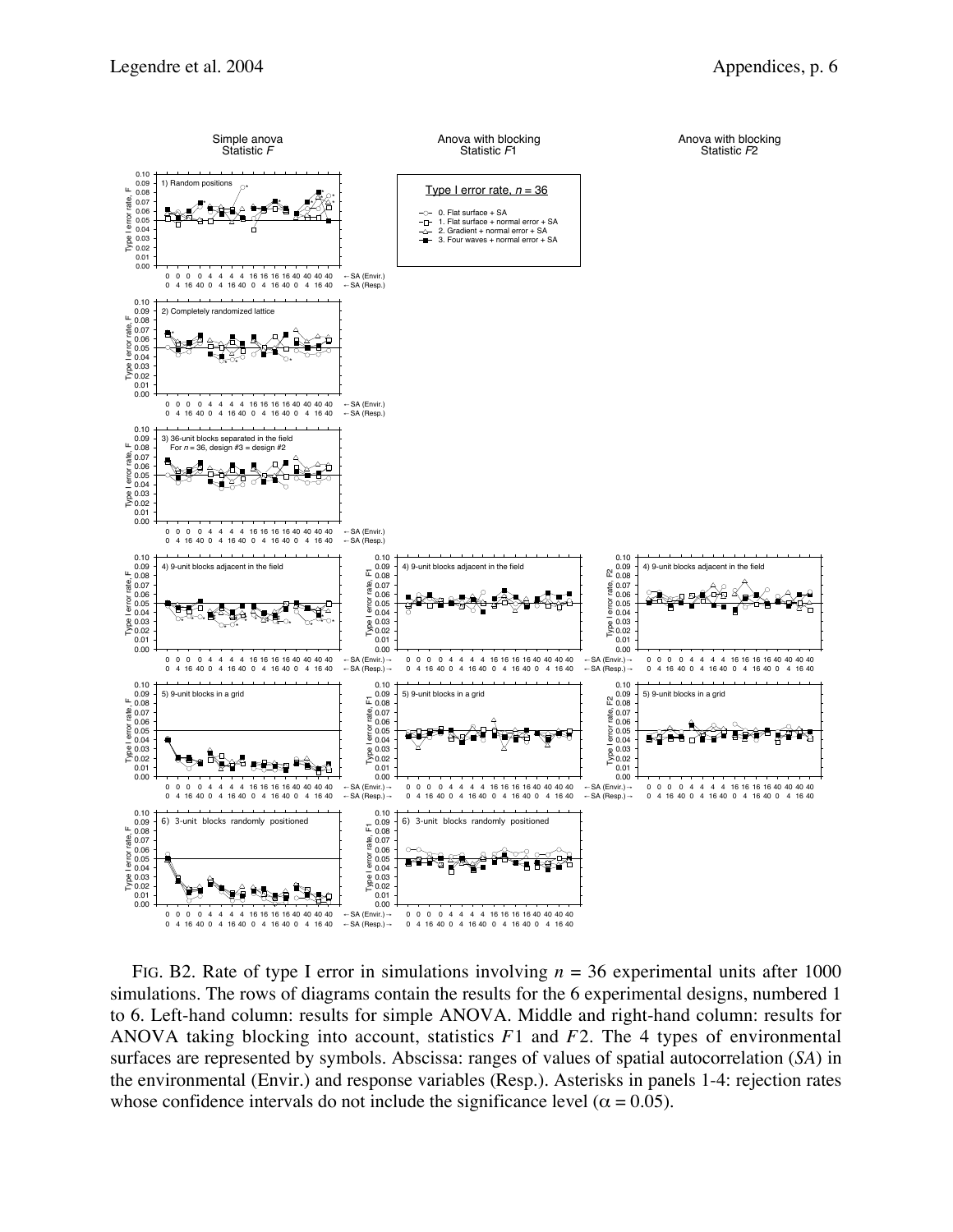

FIG. B2. Rate of type I error in simulations involving  $n = 36$  experimental units after 1000 simulations. The rows of diagrams contain the results for the 6 experimental designs, numbered 1 to 6. Left-hand column: results for simple ANOVA. Middle and right-hand column: results for ANOVA taking blocking into account, statistics *F*1 and *F*2. The 4 types of environmental surfaces are represented by symbols. Abscissa: ranges of values of spatial autocorrelation (*SA*) in the environmental (Envir.) and response variables (Resp.). Asterisks in panels 1-4: rejection rates whose confidence intervals do not include the significance level ( $\alpha = 0.05$ ).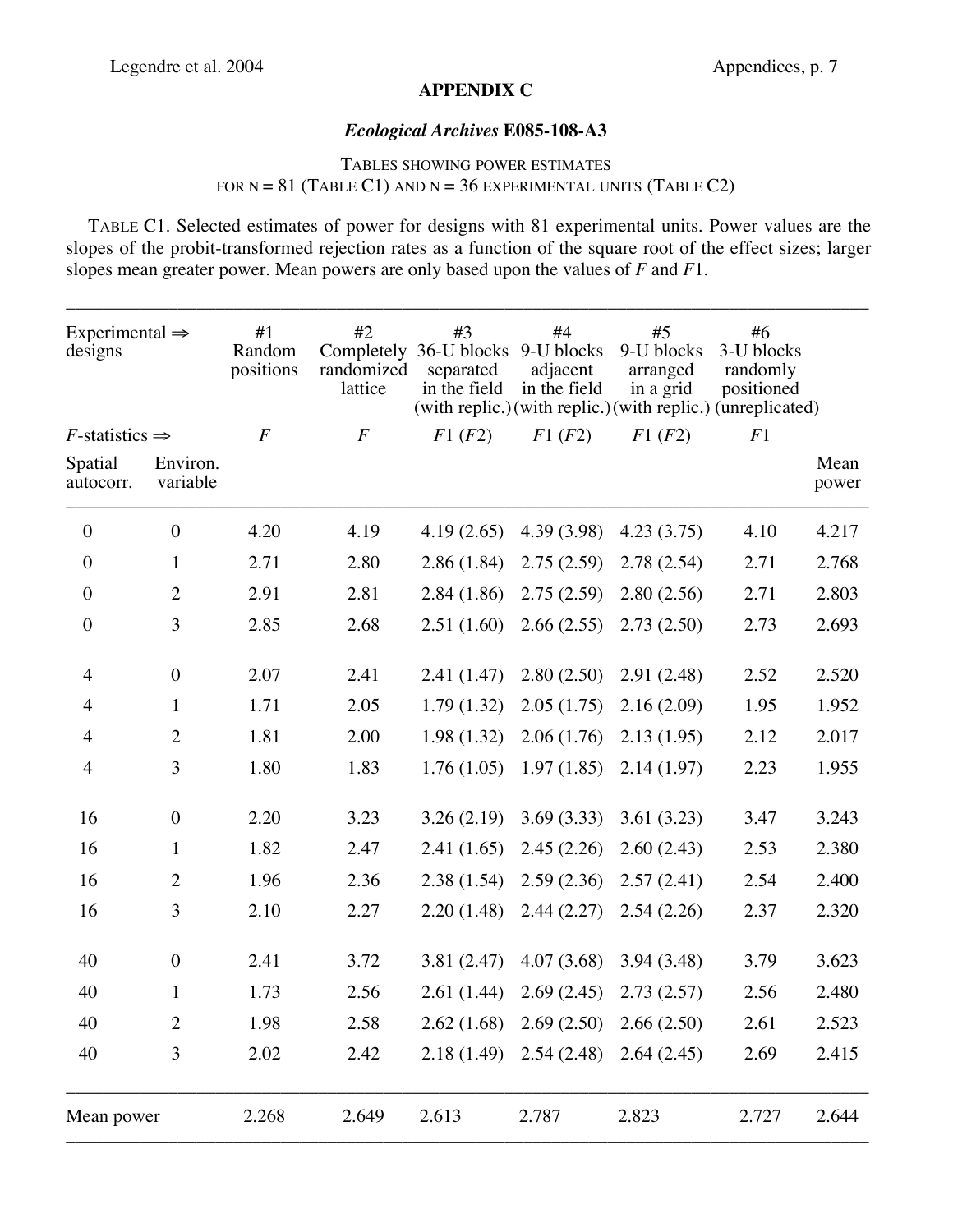## **APPENDIX C**

## *Ecological Archives* **E085-108-A3**

## TABLES SHOWING POWER ESTIMATES FOR  $N = 81$  (TABLE C1) AND  $N = 36$  EXPERIMENTAL UNITS (TABLE C2)

TABLE C1. Selected estimates of power for designs with 81 experimental units. Power values are the slopes of the probit-transformed rejection rates as a function of the square root of the effect sizes; larger slopes mean greater power. Mean powers are only based upon the values of *F* and *F*1.

| Experimental $\Rightarrow$<br>designs |                      | #1<br>Random<br>positions | #2<br>randomized<br>lattice | #3<br>Completely 36-U blocks 9-U blocks<br>separated<br>in the field | #4<br>adjacent<br>in the field         | #5<br>9-U blocks<br>arranged<br>in a grid                             | #6<br>3-U blocks<br>randomly<br>positioned |               |
|---------------------------------------|----------------------|---------------------------|-----------------------------|----------------------------------------------------------------------|----------------------------------------|-----------------------------------------------------------------------|--------------------------------------------|---------------|
| $F$ -statistics $\Rightarrow$         |                      | $\overline{F}$            | $\overline{F}$              | F1(F2)                                                               | F1(F2)                                 | (with replic.) (with replic.) (with replic.) (unreplicated)<br>F1(F2) | F1                                         |               |
| Spatial<br>autocorr.                  | Environ.<br>variable |                           |                             |                                                                      |                                        |                                                                       |                                            | Mean<br>power |
| $\boldsymbol{0}$                      | $\boldsymbol{0}$     | 4.20                      | 4.19                        | 4.19(2.65)                                                           | 4.39 (3.98)                            | 4.23(3.75)                                                            | 4.10                                       | 4.217         |
| $\boldsymbol{0}$                      | $\mathbf{1}$         | 2.71                      | 2.80                        | 2.86(1.84)                                                           | 2.75(2.59)                             | 2.78(2.54)                                                            | 2.71                                       | 2.768         |
| $\boldsymbol{0}$                      | $\overline{2}$       | 2.91                      | 2.81                        | 2.84(1.86)                                                           | 2.75(2.59)                             | 2.80(2.56)                                                            | 2.71                                       | 2.803         |
| $\boldsymbol{0}$                      | 3                    | 2.85                      | 2.68                        | 2.51(1.60)                                                           | 2.66(2.55)                             | 2.73(2.50)                                                            | 2.73                                       | 2.693         |
| $\overline{4}$                        | $\boldsymbol{0}$     | 2.07                      | 2.41                        | 2.41(1.47)                                                           | 2.80(2.50)                             | 2.91(2.48)                                                            | 2.52                                       | 2.520         |
| $\overline{4}$                        | $\mathbf{1}$         | 1.71                      | 2.05                        | 1.79(1.32)                                                           | 2.05(1.75)                             | 2.16(2.09)                                                            | 1.95                                       | 1.952         |
| $\overline{4}$                        | $\overline{2}$       | 1.81                      | 2.00                        | 1.98(1.32)                                                           | 2.06(1.76)                             | 2.13(1.95)                                                            | 2.12                                       | 2.017         |
| $\overline{4}$                        | 3                    | 1.80                      | 1.83                        | 1.76(1.05)                                                           | 1.97(1.85)                             | 2.14(1.97)                                                            | 2.23                                       | 1.955         |
| 16                                    | $\boldsymbol{0}$     | 2.20                      | 3.23                        | 3.26(2.19)                                                           | 3.69(3.33)                             | 3.61(3.23)                                                            | 3.47                                       | 3.243         |
| 16                                    | $\mathbf{1}$         | 1.82                      | 2.47                        | 2.41(1.65)                                                           | 2.45(2.26)                             | 2.60(2.43)                                                            | 2.53                                       | 2.380         |
| 16                                    | $\overline{2}$       | 1.96                      | 2.36                        | 2.38(1.54)                                                           | 2.59(2.36)                             | 2.57(2.41)                                                            | 2.54                                       | 2.400         |
| 16                                    | 3                    | 2.10                      | 2.27                        | 2.20(1.48)                                                           | 2.44(2.27)                             | 2.54(2.26)                                                            | 2.37                                       | 2.320         |
| 40                                    | $\boldsymbol{0}$     | 2.41                      | 3.72                        | 3.81(2.47)                                                           | 4.07(3.68)                             | 3.94(3.48)                                                            | 3.79                                       | 3.623         |
| 40                                    | $\mathbf{1}$         | 1.73                      | 2.56                        |                                                                      | $2.61(1.44)$ $2.69(2.45)$ $2.73(2.57)$ |                                                                       | 2.56                                       | 2.480         |
| 40                                    | $\overline{2}$       | 1.98                      | 2.58                        |                                                                      | $2.62(1.68)$ $2.69(2.50)$ $2.66(2.50)$ |                                                                       | 2.61                                       | 2.523         |
| 40                                    | 3                    | 2.02                      | 2.42                        |                                                                      | $2.18(1.49)$ $2.54(2.48)$              | 2.64(2.45)                                                            | 2.69                                       | 2.415         |
| Mean power                            |                      | 2.268                     | 2.649                       | 2.613                                                                | 2.787                                  | 2.823                                                                 | 2.727                                      | 2.644         |